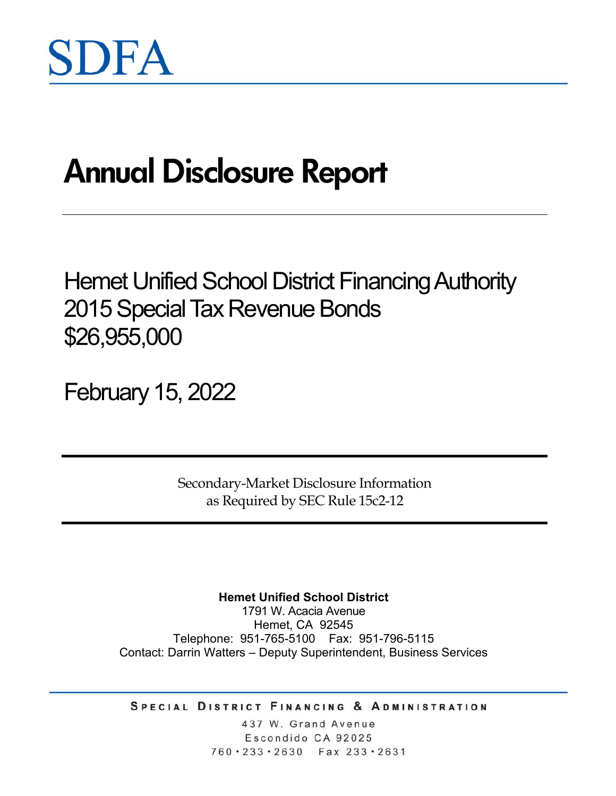# **Annual Disclosure Report**

Hemet Unified School District Financing Authority 2015 Special Tax Revenue Bonds \$26,955,000

February 15, 2022

Secondary-Market Disclosure Information as Required by SEC Rule 15c2-12

**Hemet Unified School District**

1791 W. Acacia Avenue Hemet, CA 92545 Telephone: 951-765-5100 Fax: 951-796-5115 Contact: Darrin Watters – Deputy Superintendent, Business Services

SPECIAL DISTRICT FINANCING & ADMINISTRATION

437 W. Grand Avenue Escondido CA 92025 760 · 233 · 2630 Fax 233 · 2631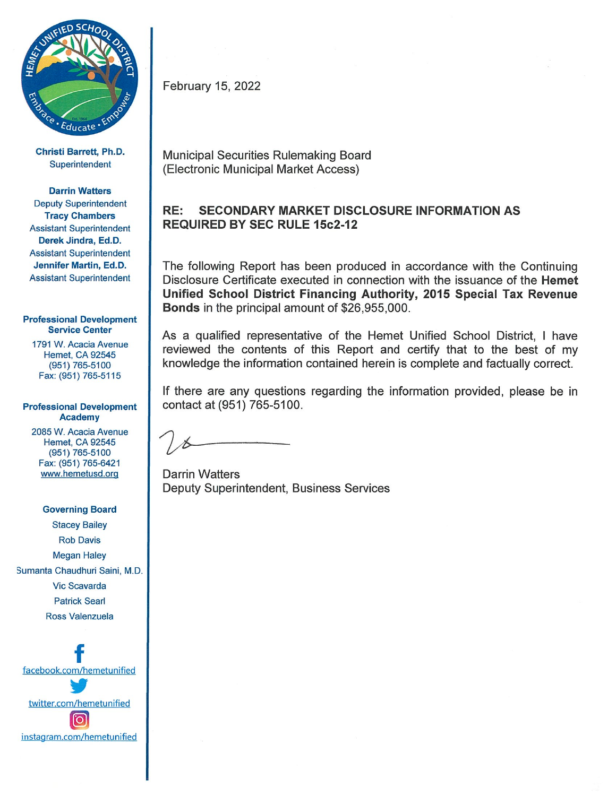

Christi Barrett, Ph.D. Superintendent

**Darrin Watters Deputy Superintendent Tracy Chambers Assistant Superintendent** Derek Jindra, Ed.D. **Assistant Superintendent** Jennifer Martin, Ed.D. **Assistant Superintendent** 

#### **Professional Development Service Center**

1791 W. Acacia Avenue **Hemet, CA 92545** (951) 765-5100 Fax: (951) 765-5115

#### **Professional Development Academy**

2085 W. Acacia Avenue **Hemet, CA 92545** (951) 765-5100 Fax: (951) 765-6421 www.hemetusd.org

#### **Governing Board**

**Stacey Bailey Rob Davis Megan Haley** Sumanta Chaudhuri Saini, M.D. **Vic Scavarda Patrick Searl** Ross Valenzuela

facebook.com/hemetunified twitter.com/hemetunified <u>(ဝ</u> instagram.com/hemetunified February 15, 2022

**Municipal Securities Rulemaking Board** (Electronic Municipal Market Access)

#### RE: **SECONDARY MARKET DISCLOSURE INFORMATION AS REQUIRED BY SEC RULE 15c2-12**

The following Report has been produced in accordance with the Continuing Disclosure Certificate executed in connection with the issuance of the Hemet Unified School District Financing Authority, 2015 Special Tax Revenue **Bonds** in the principal amount of \$26,955,000.

As a qualified representative of the Hemet Unified School District, I have reviewed the contents of this Report and certify that to the best of my knowledge the information contained herein is complete and factually correct.

If there are any questions regarding the information provided, please be in contact at (951) 765-5100.

**Darrin Watters** Deputy Superintendent, Business Services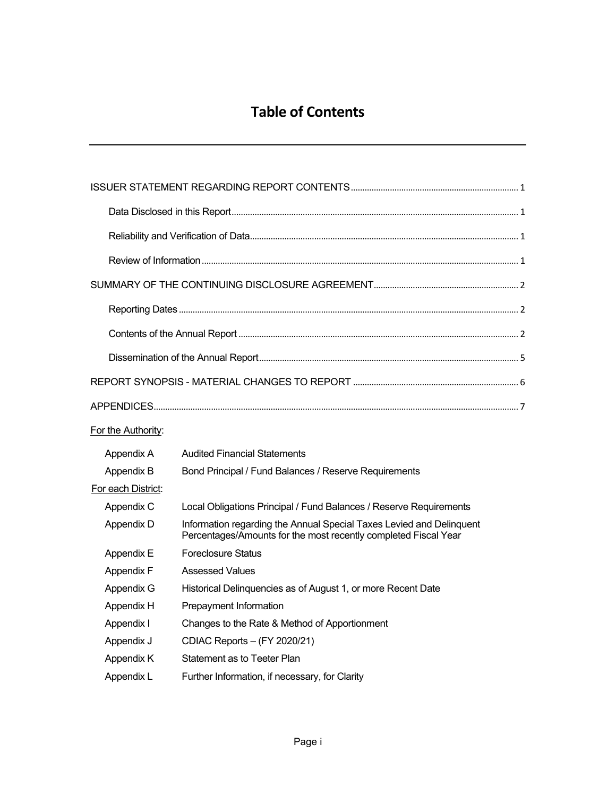## **Table of Contents**

| For the Authority: |                                                                                                                                         |  |
|--------------------|-----------------------------------------------------------------------------------------------------------------------------------------|--|
| Appendix A         | <b>Audited Financial Statements</b>                                                                                                     |  |
| Appendix B         | Bond Principal / Fund Balances / Reserve Requirements                                                                                   |  |
| For each District: |                                                                                                                                         |  |
| Appendix C         | Local Obligations Principal / Fund Balances / Reserve Requirements                                                                      |  |
| Appendix D         | Information regarding the Annual Special Taxes Levied and Delinquent<br>Percentages/Amounts for the most recently completed Fiscal Year |  |
| Appendix E         | <b>Foreclosure Status</b>                                                                                                               |  |
| Appendix F         | <b>Assessed Values</b>                                                                                                                  |  |
| Appendix G         | Historical Delinquencies as of August 1, or more Recent Date                                                                            |  |
| Appendix H         | Prepayment Information                                                                                                                  |  |
| Appendix I         | Changes to the Rate & Method of Apportionment                                                                                           |  |
| Appendix J         | CDIAC Reports - (FY 2020/21)                                                                                                            |  |
| Appendix K         | Statement as to Teeter Plan                                                                                                             |  |
| Appendix L         | Further Information, if necessary, for Clarity                                                                                          |  |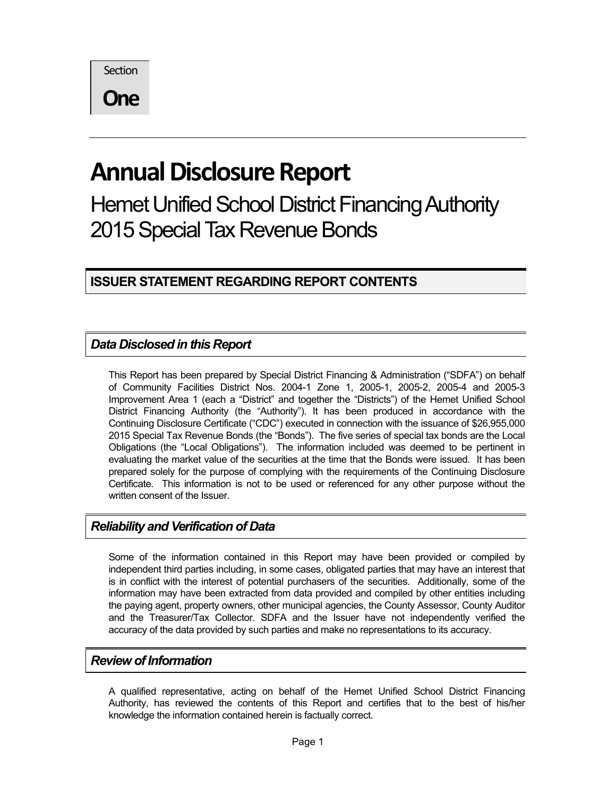**Section** 

**One**

## **Annual Disclosure Report**

Hemet Unified School District Financing Authority 2015 Special Tax Revenue Bonds

**ISSUER STATEMENT REGARDING REPORT CONTENTS**

## *Data Disclosed in this Report*

This Report has been prepared by Special District Financing & Administration ("SDFA") on behalf of Community Facilities District Nos. 2004-1 Zone 1, 2005-1, 2005-2, 2005-4 and 2005-3 Improvement Area 1 (each a "District" and together the "Districts") of the Hemet Unified School District Financing Authority (the "Authority"). It has been produced in accordance with the Continuing Disclosure Certificate ("CDC") executed in connection with the issuance of \$26,955,000 2015 Special Tax Revenue Bonds (the "Bonds"). The five series of special tax bonds are the Local Obligations (the "Local Obligations"). The information included was deemed to be pertinent in evaluating the market value of the securities at the time that the Bonds were issued. It has been prepared solely for the purpose of complying with the requirements of the Continuing Disclosure Certificate. This information is not to be used or referenced for any other purpose without the written consent of the Issuer.

## *Reliability and Verification of Data*

Some of the information contained in this Report may have been provided or compiled by independent third parties including, in some cases, obligated parties that may have an interest that is in conflict with the interest of potential purchasers of the securities. Additionally, some of the information may have been extracted from data provided and compiled by other entities including the paying agent, property owners, other municipal agencies, the County Assessor, County Auditor and the Treasurer/Tax Collector. SDFA and the Issuer have not independently verified the accuracy of the data provided by such parties and make no representations to its accuracy.

#### *Review of Information*

A qualified representative, acting on behalf of the Hemet Unified School District Financing Authority, has reviewed the contents of this Report and certifies that to the best of his/her knowledge the information contained herein is factually correct.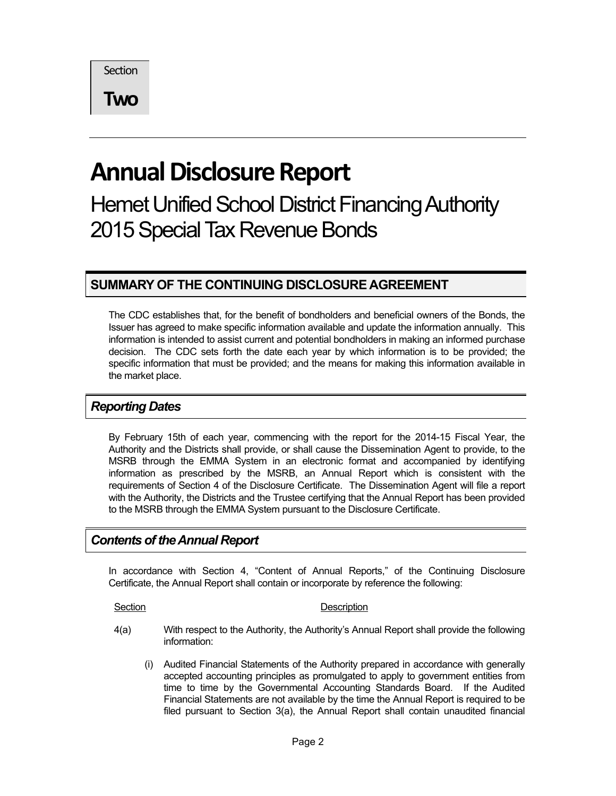**Section** 

**Two**

## **Annual Disclosure Report**

Hemet Unified School District Financing Authority 2015Special Tax Revenue Bonds

## **SUMMARY OF THE CONTINUING DISCLOSURE AGREEMENT**

The CDC establishes that, for the benefit of bondholders and beneficial owners of the Bonds, the Issuer has agreed to make specific information available and update the information annually. This information is intended to assist current and potential bondholders in making an informed purchase decision. The CDC sets forth the date each year by which information is to be provided; the specific information that must be provided; and the means for making this information available in the market place.

### *Reporting Dates*

By February 15th of each year, commencing with the report for the 2014-15 Fiscal Year, the Authority and the Districts shall provide, or shall cause the Dissemination Agent to provide, to the MSRB through the EMMA System in an electronic format and accompanied by identifying information as prescribed by the MSRB, an Annual Report which is consistent with the requirements of Section 4 of the Disclosure Certificate. The Dissemination Agent will file a report with the Authority, the Districts and the Trustee certifying that the Annual Report has been provided to the MSRB through the EMMA System pursuant to the Disclosure Certificate.

#### *Contents of the Annual Report*

In accordance with Section 4, "Content of Annual Reports," of the Continuing Disclosure Certificate, the Annual Report shall contain or incorporate by reference the following:

#### Section Description

- 4(a) With respect to the Authority, the Authority's Annual Report shall provide the following information:
	- (i) Audited Financial Statements of the Authority prepared in accordance with generally accepted accounting principles as promulgated to apply to government entities from time to time by the Governmental Accounting Standards Board. If the Audited Financial Statements are not available by the time the Annual Report is required to be filed pursuant to Section 3(a), the Annual Report shall contain unaudited financial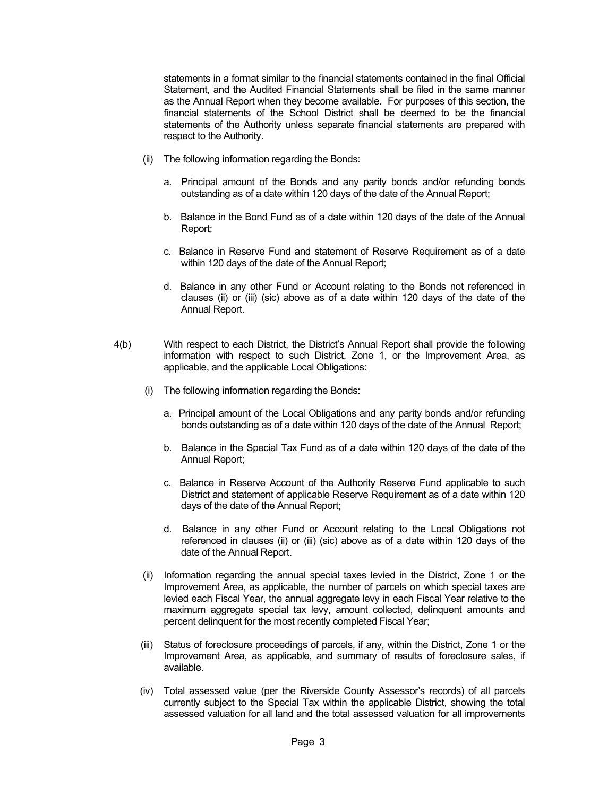statements in a format similar to the financial statements contained in the final Official Statement, and the Audited Financial Statements shall be filed in the same manner as the Annual Report when they become available. For purposes of this section, the financial statements of the School District shall be deemed to be the financial statements of the Authority unless separate financial statements are prepared with respect to the Authority.

- (ii) The following information regarding the Bonds:
	- a. Principal amount of the Bonds and any parity bonds and/or refunding bonds outstanding as of a date within 120 days of the date of the Annual Report;
	- b. Balance in the Bond Fund as of a date within 120 days of the date of the Annual Report;
	- c. Balance in Reserve Fund and statement of Reserve Requirement as of a date within 120 days of the date of the Annual Report;
	- d. Balance in any other Fund or Account relating to the Bonds not referenced in clauses (ii) or (iii) (sic) above as of a date within 120 days of the date of the Annual Report.
- 4(b) With respect to each District, the District's Annual Report shall provide the following information with respect to such District, Zone 1, or the Improvement Area, as applicable, and the applicable Local Obligations:
	- (i) The following information regarding the Bonds:
		- a. Principal amount of the Local Obligations and any parity bonds and/or refunding bonds outstanding as of a date within 120 days of the date of the Annual Report;
		- b. Balance in the Special Tax Fund as of a date within 120 days of the date of the Annual Report;
		- c. Balance in Reserve Account of the Authority Reserve Fund applicable to such District and statement of applicable Reserve Requirement as of a date within 120 days of the date of the Annual Report;
		- d. Balance in any other Fund or Account relating to the Local Obligations not referenced in clauses (ii) or (iii) (sic) above as of a date within 120 days of the date of the Annual Report.
	- (ii) Information regarding the annual special taxes levied in the District, Zone 1 or the Improvement Area, as applicable, the number of parcels on which special taxes are levied each Fiscal Year, the annual aggregate levy in each Fiscal Year relative to the maximum aggregate special tax levy, amount collected, delinquent amounts and percent delinquent for the most recently completed Fiscal Year;
	- (iii) Status of foreclosure proceedings of parcels, if any, within the District, Zone 1 or the Improvement Area, as applicable, and summary of results of foreclosure sales, if available.
	- (iv) Total assessed value (per the Riverside County Assessor's records) of all parcels currently subject to the Special Tax within the applicable District, showing the total assessed valuation for all land and the total assessed valuation for all improvements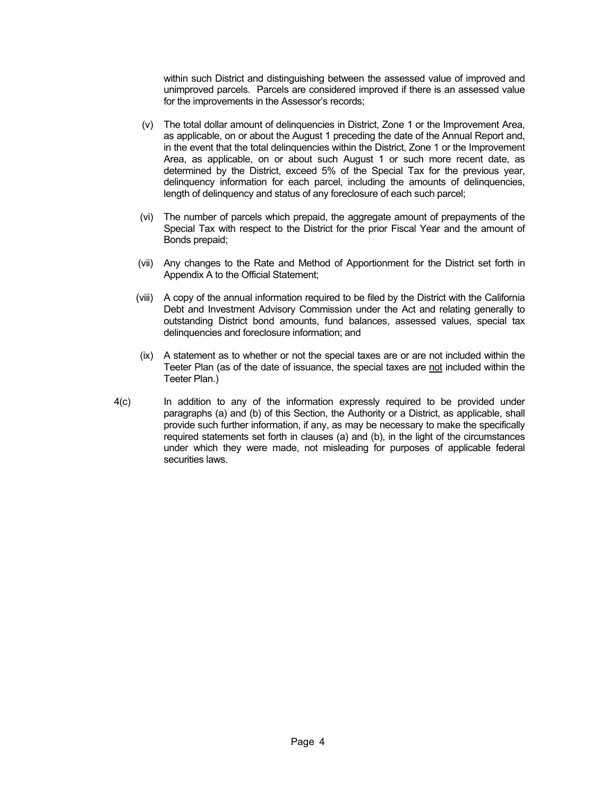within such District and distinguishing between the assessed value of improved and unimproved parcels. Parcels are considered improved if there is an assessed value for the improvements in the Assessor's records;

- (v) The total dollar amount of delinquencies in District, Zone 1 or the Improvement Area, as applicable, on or about the August 1 preceding the date of the Annual Report and, in the event that the total delinquencies within the District, Zone 1 or the Improvement Area, as applicable, on or about such August 1 or such more recent date, as determined by the District, exceed 5% of the Special Tax for the previous year, delinquency information for each parcel, including the amounts of delinquencies, length of delinquency and status of any foreclosure of each such parcel;
- (vi) The number of parcels which prepaid, the aggregate amount of prepayments of the Special Tax with respect to the District for the prior Fiscal Year and the amount of Bonds prepaid;
- (vii) Any changes to the Rate and Method of Apportionment for the District set forth in Appendix A to the Official Statement;
- (viii) A copy of the annual information required to be filed by the District with the California Debt and Investment Advisory Commission under the Act and relating generally to outstanding District bond amounts, fund balances, assessed values, special tax delinquencies and foreclosure information; and
- (ix) A statement as to whether or not the special taxes are or are not included within the Teeter Plan (as of the date of issuance, the special taxes are not included within the Teeter Plan.)
- 4(c) In addition to any of the information expressly required to be provided under paragraphs (a) and (b) of this Section, the Authority or a District, as applicable, shall provide such further information, if any, as may be necessary to make the specifically required statements set forth in clauses (a) and (b), in the light of the circumstances under which they were made, not misleading for purposes of applicable federal securities laws.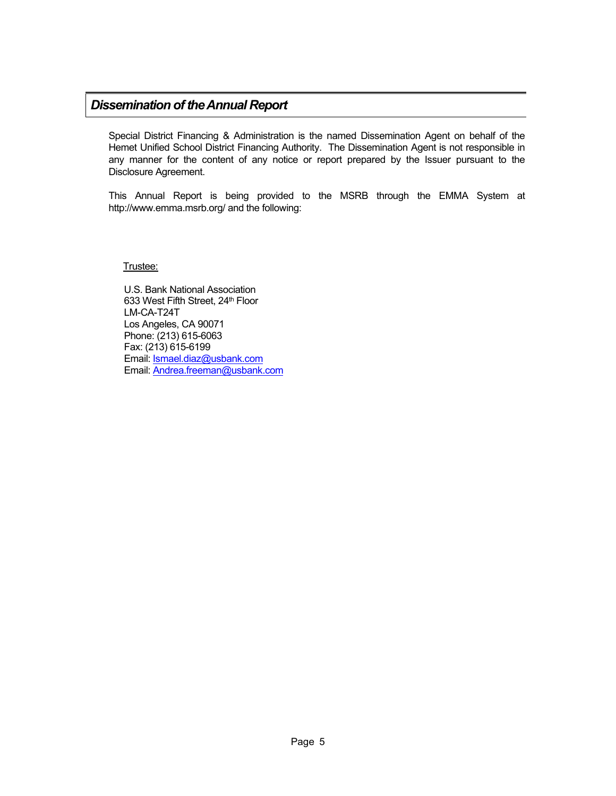#### *Dissemination of the Annual Report*

Special District Financing & Administration is the named Dissemination Agent on behalf of the Hemet Unified School District Financing Authority. The Dissemination Agent is not responsible in any manner for the content of any notice or report prepared by the Issuer pursuant to the Disclosure Agreement.

This Annual Report is being provided to the MSRB through the EMMA System at http://www.emma.msrb.org/ and the following:

Trustee:

U.S. Bank National Association 633 West Fifth Street, 24<sup>th</sup> Floor LM-CA-T24T Los Angeles, CA 90071 Phone: (213) 615-6063 Fax: (213) 615-6199 Email: Ismael.diaz@usbank.com Email: Andrea.freeman@usbank.com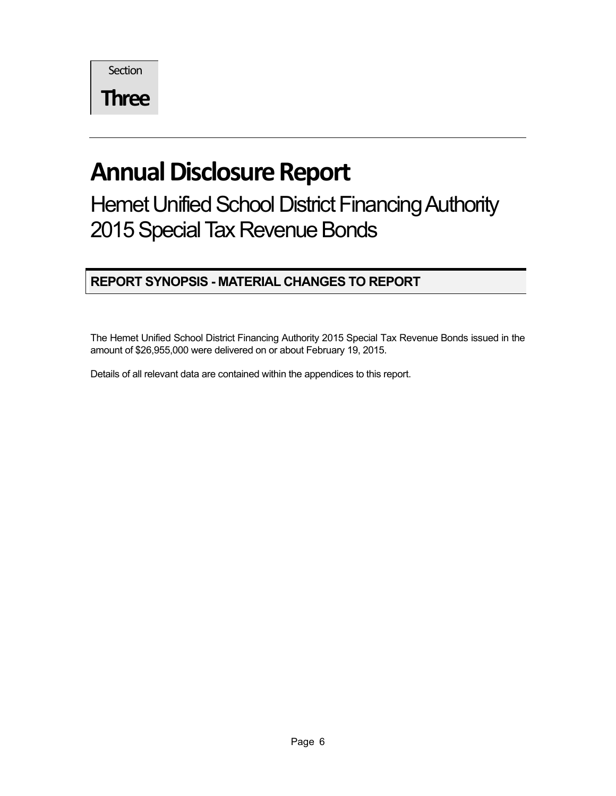**Section** 

**Three**

## **Annual Disclosure Report**

Hemet Unified School District Financing Authority 2015 Special Tax Revenue Bonds

## **REPORT SYNOPSIS - MATERIAL CHANGES TO REPORT**

The Hemet Unified School District Financing Authority 2015 Special Tax Revenue Bonds issued in the amount of \$26,955,000 were delivered on or about February 19, 2015.

Details of all relevant data are contained within the appendices to this report.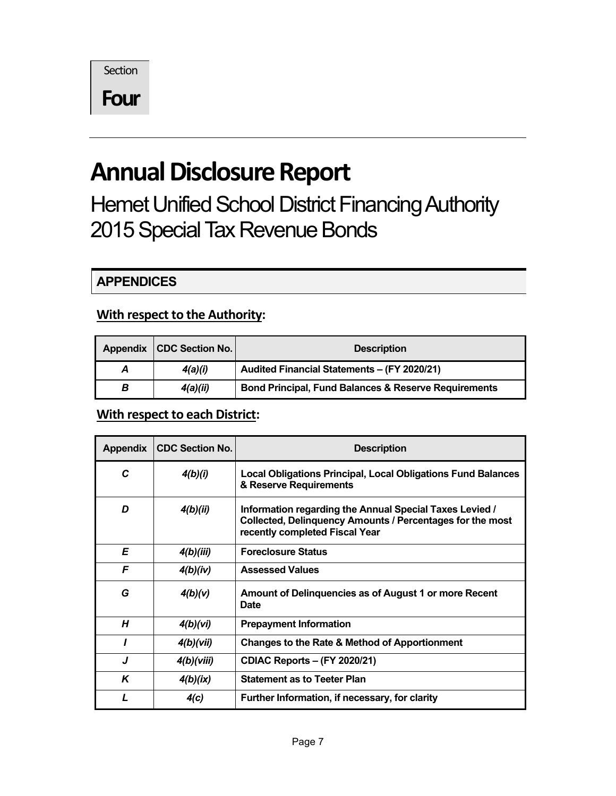**Section** 

**Four**

## **Annual Disclosure Report**

Hemet Unified School District Financing Authority 2015 Special Tax Revenue Bonds

**APPENDICES**

## **With respect to the Authority:**

|   | Appendix   CDC Section No. | <b>Description</b>                                              |
|---|----------------------------|-----------------------------------------------------------------|
| A | 4(a)(i)                    | Audited Financial Statements - (FY 2020/21)                     |
| В | 4(a)(ii)                   | <b>Bond Principal, Fund Balances &amp; Reserve Requirements</b> |

### **With respect to each District:**

| Appendix | <b>CDC Section No.</b> | <b>Description</b>                                                                                                                                     |
|----------|------------------------|--------------------------------------------------------------------------------------------------------------------------------------------------------|
| C        | 4(b)(i)                | <b>Local Obligations Principal, Local Obligations Fund Balances</b><br>& Reserve Requirements                                                          |
| D        | 4(b)(ii)               | Information regarding the Annual Special Taxes Levied /<br>Collected, Delinquency Amounts / Percentages for the most<br>recently completed Fiscal Year |
| E        | 4(b)(iii)              | <b>Foreclosure Status</b>                                                                                                                              |
| F        | 4(b)(iv)               | <b>Assessed Values</b>                                                                                                                                 |
| G        | 4(b)(v)                | Amount of Delinquencies as of August 1 or more Recent<br><b>Date</b>                                                                                   |
| H        | 4(b)(vi)               | <b>Prepayment Information</b>                                                                                                                          |
|          | 4(b)(vii)              | <b>Changes to the Rate &amp; Method of Apportionment</b>                                                                                               |
| J        | 4(b)(viii)             | <b>CDIAC Reports – (FY 2020/21)</b>                                                                                                                    |
| K        | 4(b)(ix)               | <b>Statement as to Teeter Plan</b>                                                                                                                     |
|          | 4(c)                   | Further Information, if necessary, for clarity                                                                                                         |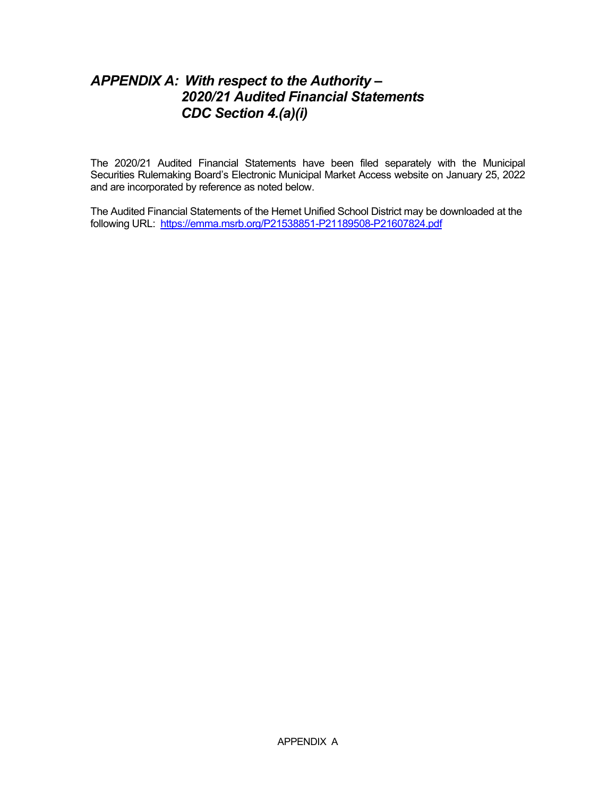## *APPENDIX A: With respect to the Authority – 2020/21 Audited Financial Statements CDC Section 4.(a)(i)*

The 2020/21 Audited Financial Statements have been filed separately with the Municipal Securities Rulemaking Board's Electronic Municipal Market Access website on January 25, 2022 and are incorporated by reference as noted below.

The Audited Financial Statements of the Hemet Unified School District may be downloaded at the following URL: https://emma.msrb.org/P21538851-P21189508-P21607824.pdf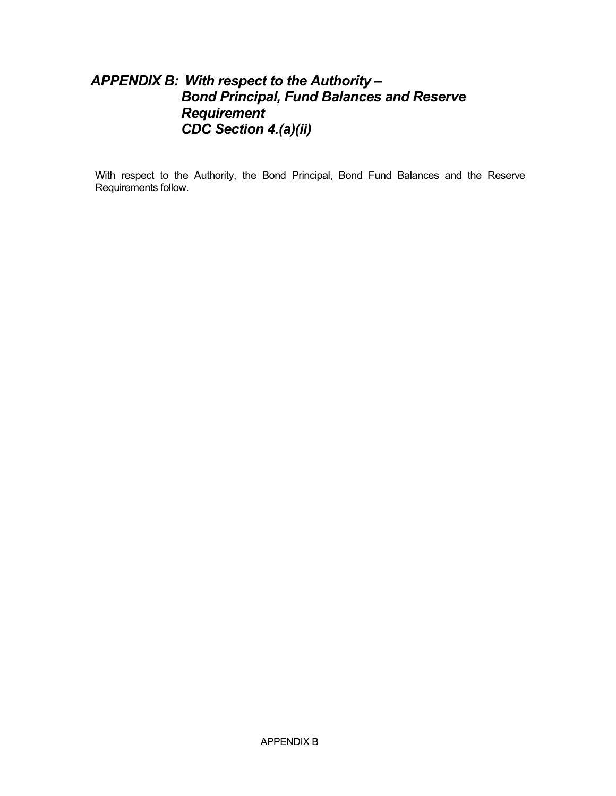## *APPENDIX B: With respect to the Authority – Bond Principal, Fund Balances and Reserve Requirement CDC Section 4.(a)(ii)*

With respect to the Authority, the Bond Principal, Bond Fund Balances and the Reserve Requirements follow.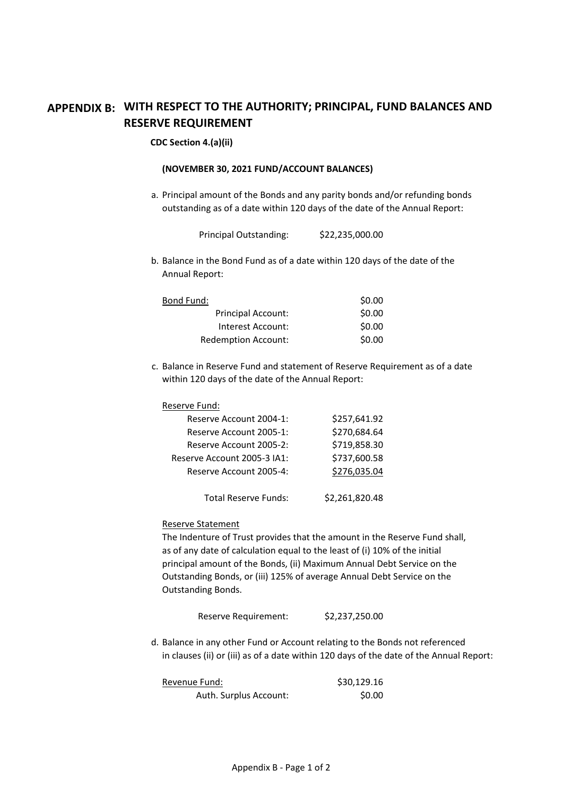## **APPENDIX B: WITH RESPECT TO THE AUTHORITY; PRINCIPAL, FUND BALANCES AND RESERVE REQUIREMENT**

#### **CDC Section 4.(a)(ii)**

#### **(NOVEMBER 30, 2021 FUND/ACCOUNT BALANCES)**

a. Principal amount of the Bonds and any parity bonds and/or refunding bonds outstanding as of a date within 120 days of the date of the Annual Report:

| <b>Principal Outstanding:</b> | \$22,235,000.00 |
|-------------------------------|-----------------|
|-------------------------------|-----------------|

b. Balance in the Bond Fund as of a date within 120 days of the date of the Annual Report:

| Bond Fund:                | \$0.00 |
|---------------------------|--------|
| <b>Principal Account:</b> | \$0.00 |
| Interest Account:         | \$0.00 |
| Redemption Account:       | \$0.00 |

c. Balance in Reserve Fund and statement of Reserve Requirement as of a date within 120 days of the date of the Annual Report:

| Reserve Fund: |  |
|---------------|--|
|               |  |

| Reserve Account 2004-1:     | \$257,641.92   |
|-----------------------------|----------------|
| Reserve Account 2005-1:     | \$270,684.64   |
| Reserve Account 2005-2:     | \$719,858.30   |
| Reserve Account 2005-3 IA1: | \$737,600.58   |
| Reserve Account 2005-4:     | \$276,035.04   |
|                             |                |
| <b>Total Reserve Funds:</b> | \$2,261,820.48 |

#### Reserve Statement

The Indenture of Trust provides that the amount in the Reserve Fund shall, as of any date of calculation equal to the least of (i) 10% of the initial principal amount of the Bonds, (ii) Maximum Annual Debt Service on the Outstanding Bonds, or (iii) 125% of average Annual Debt Service on the Outstanding Bonds.

Reserve Requirement: \$2,237,250.00

d. Balance in any other Fund or Account relating to the Bonds not referenced in clauses (ii) or (iii) as of a date within 120 days of the date of the Annual Report:

| Revenue Fund:          | \$30,129.16 |
|------------------------|-------------|
| Auth. Surplus Account: | \$0.00      |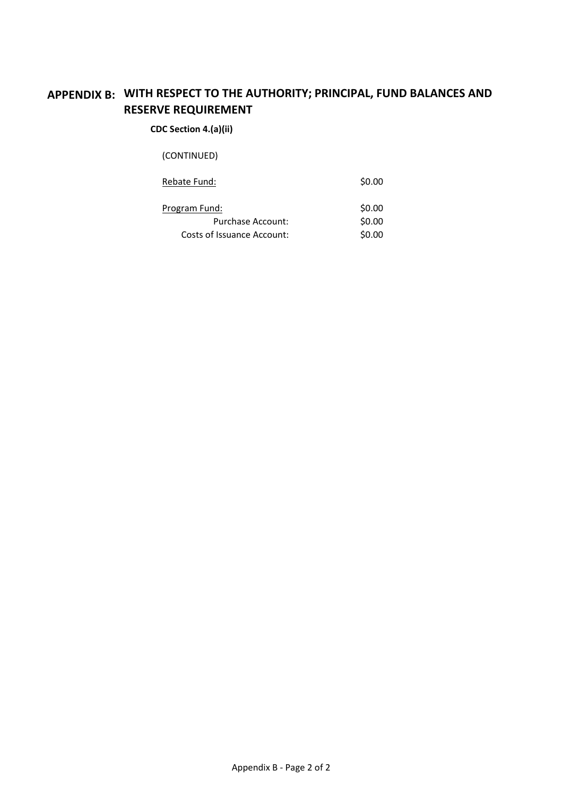## **APPENDIX B: WITH RESPECT TO THE AUTHORITY; PRINCIPAL, FUND BALANCES AND RESERVE REQUIREMENT**

#### **CDC Section 4.(a)(ii)**

(CONTINUED)

| Rebate Fund: | \$0.00 |
|--------------|--------|
|              |        |

| Program Fund:              | \$0.00 |
|----------------------------|--------|
| Purchase Account:          | \$0.00 |
| Costs of Issuance Account: | \$0.00 |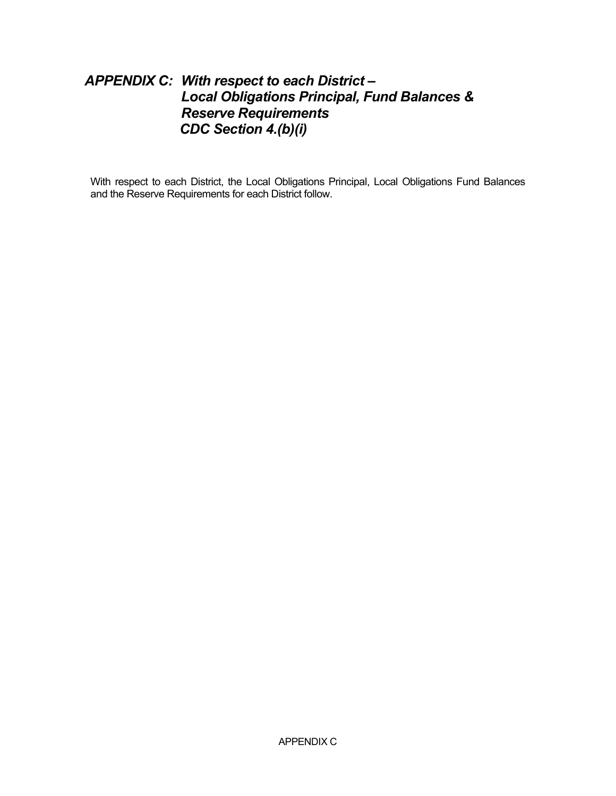## *APPENDIX C: With respect to each District – Local Obligations Principal, Fund Balances & Reserve Requirements CDC Section 4.(b)(i)*

With respect to each District, the Local Obligations Principal, Local Obligations Fund Balances and the Reserve Requirements for each District follow.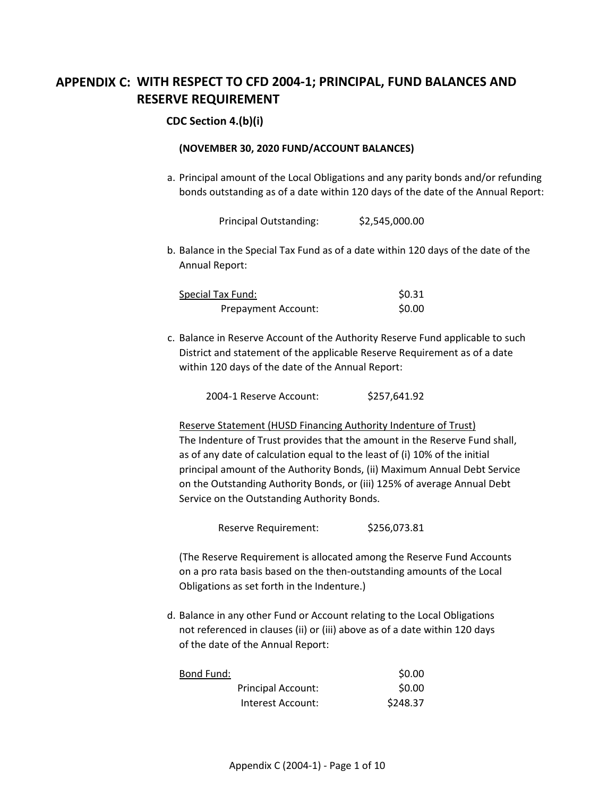## **APPENDIX C: WITH RESPECT TO CFD 2004-1; PRINCIPAL, FUND BALANCES AND RESERVE REQUIREMENT**

#### **CDC Section 4.(b)(i)**

#### **(NOVEMBER 30, 2020 FUND/ACCOUNT BALANCES)**

a. Principal amount of the Local Obligations and any parity bonds and/or refunding bonds outstanding as of a date within 120 days of the date of the Annual Report:

Principal Outstanding: \$2,545,000.00

b. Balance in the Special Tax Fund as of a date within 120 days of the date of the Annual Report:

| <b>Special Tax Fund:</b> | \$0.31 |
|--------------------------|--------|
| Prepayment Account:      | \$0.00 |

c. Balance in Reserve Account of the Authority Reserve Fund applicable to such District and statement of the applicable Reserve Requirement as of a date within 120 days of the date of the Annual Report:

2004-1 Reserve Account: \$257,641.92

Reserve Statement (HUSD Financing Authority Indenture of Trust) The Indenture of Trust provides that the amount in the Reserve Fund shall, as of any date of calculation equal to the least of (i) 10% of the initial principal amount of the Authority Bonds, (ii) Maximum Annual Debt Service on the Outstanding Authority Bonds, or (iii) 125% of average Annual Debt Service on the Outstanding Authority Bonds.

Reserve Requirement: \$256,073.81

(The Reserve Requirement is allocated among the Reserve Fund Accounts on a pro rata basis based on the then-outstanding amounts of the Local Obligations as set forth in the Indenture.)

d. Balance in any other Fund or Account relating to the Local Obligations not referenced in clauses (ii) or (iii) above as of a date within 120 days of the date of the Annual Report:

| Bond Fund: |                    | \$0.00   |
|------------|--------------------|----------|
|            | Principal Account: | \$0.00   |
|            | Interest Account:  | \$248.37 |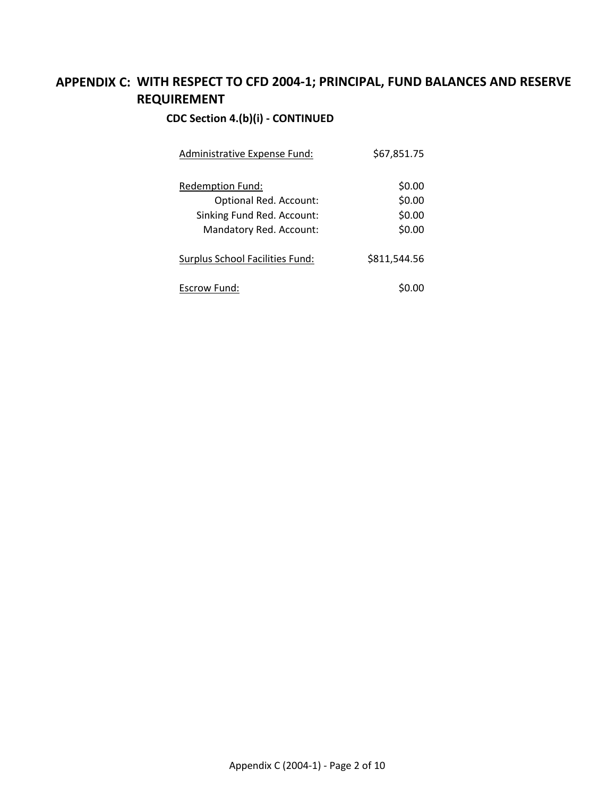## **APPENDIX C: WITH RESPECT TO CFD 2004-1; PRINCIPAL, FUND BALANCES AND RESERVE REQUIREMENT**

### **CDC Section 4.(b)(i) - CONTINUED**

| Administrative Expense Fund:    | \$67,851.75  |
|---------------------------------|--------------|
| Redemption Fund:                | \$0.00       |
| Optional Red. Account:          | \$0.00       |
| Sinking Fund Red. Account:      | \$0.00       |
| Mandatory Red. Account:         | \$0.00       |
| Surplus School Facilities Fund: | \$811,544.56 |
| Escrow Fund:                    |              |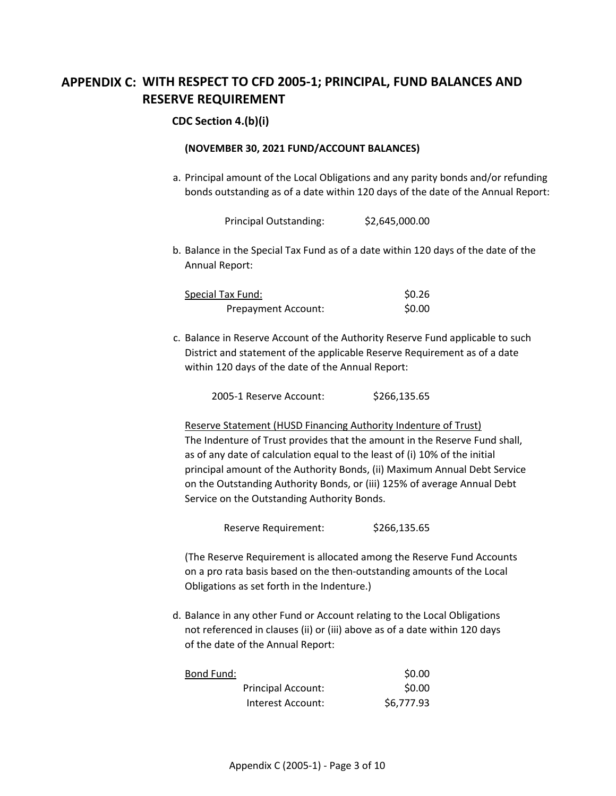## **APPENDIX C: WITH RESPECT TO CFD 2005-1; PRINCIPAL, FUND BALANCES AND RESERVE REQUIREMENT**

#### **CDC Section 4.(b)(i)**

#### **(NOVEMBER 30, 2021 FUND/ACCOUNT BALANCES)**

a. Principal amount of the Local Obligations and any parity bonds and/or refunding bonds outstanding as of a date within 120 days of the date of the Annual Report:

Principal Outstanding: \$2,645,000.00

b. Balance in the Special Tax Fund as of a date within 120 days of the date of the Annual Report:

| Special Tax Fund:   | \$0.26 |
|---------------------|--------|
| Prepayment Account: | \$0.00 |

c. Balance in Reserve Account of the Authority Reserve Fund applicable to such District and statement of the applicable Reserve Requirement as of a date within 120 days of the date of the Annual Report:

2005-1 Reserve Account: \$266,135.65

Reserve Statement (HUSD Financing Authority Indenture of Trust) The Indenture of Trust provides that the amount in the Reserve Fund shall, as of any date of calculation equal to the least of (i) 10% of the initial principal amount of the Authority Bonds, (ii) Maximum Annual Debt Service on the Outstanding Authority Bonds, or (iii) 125% of average Annual Debt Service on the Outstanding Authority Bonds.

Reserve Requirement: \$266,135.65

(The Reserve Requirement is allocated among the Reserve Fund Accounts on a pro rata basis based on the then-outstanding amounts of the Local Obligations as set forth in the Indenture.)

d. Balance in any other Fund or Account relating to the Local Obligations not referenced in clauses (ii) or (iii) above as of a date within 120 days of the date of the Annual Report:

| Bond Fund: |                           | \$0.00     |
|------------|---------------------------|------------|
|            | <b>Principal Account:</b> | \$0.00     |
|            | Interest Account:         | \$6,777.93 |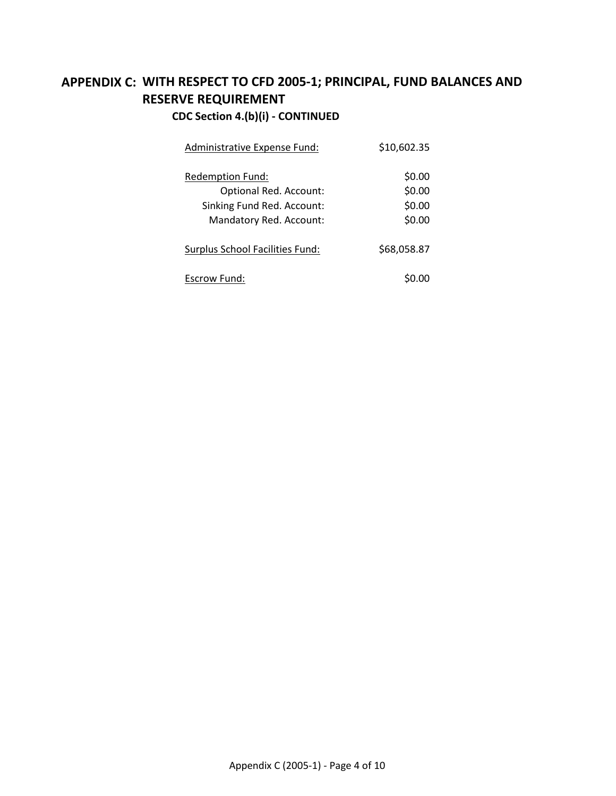### **APPENDIX C: WITH RESPECT TO CFD 2005-1; PRINCIPAL, FUND BALANCES AND C** Section 4.(b)(i) - CO **RESERVE REQUIREMENT**

| CDC Section 4.(b)(i) - CONTINUED |  |
|----------------------------------|--|
|----------------------------------|--|

| <b>Administrative Expense Fund:</b>                                                                 | \$10,602.35                          |
|-----------------------------------------------------------------------------------------------------|--------------------------------------|
| Redemption Fund:<br>Optional Red. Account:<br>Sinking Fund Red. Account:<br>Mandatory Red. Account: | \$0.00<br>\$0.00<br>\$0.00<br>\$0.00 |
| Surplus School Facilities Fund:                                                                     | \$68,058.87                          |
| Escrow Fund:                                                                                        |                                      |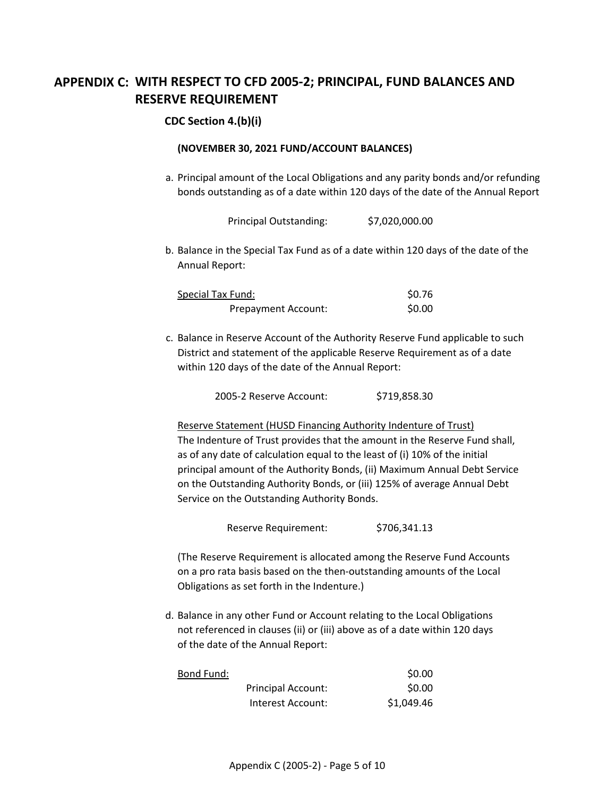## **APPENDIX C: WITH RESPECT TO CFD 2005-2; PRINCIPAL, FUND BALANCES AND RESERVE REQUIREMENT**

#### **CDC Section 4.(b)(i)**

#### **(NOVEMBER 30, 2021 FUND/ACCOUNT BALANCES)**

a. Principal amount of the Local Obligations and any parity bonds and/or refunding bonds outstanding as of a date within 120 days of the date of the Annual Report:

Principal Outstanding: \$7,020,000.00

b. Balance in the Special Tax Fund as of a date within 120 days of the date of the Annual Report:

| Special Tax Fund:   | \$0.76 |
|---------------------|--------|
| Prepayment Account: | \$0.00 |

c. Balance in Reserve Account of the Authority Reserve Fund applicable to such District and statement of the applicable Reserve Requirement as of a date within 120 days of the date of the Annual Report:

2005-2 Reserve Account: \$719,858.30

Reserve Statement (HUSD Financing Authority Indenture of Trust) The Indenture of Trust provides that the amount in the Reserve Fund shall, as of any date of calculation equal to the least of (i) 10% of the initial principal amount of the Authority Bonds, (ii) Maximum Annual Debt Service on the Outstanding Authority Bonds, or (iii) 125% of average Annual Debt Service on the Outstanding Authority Bonds.

Reserve Requirement: \$706,341.13

(The Reserve Requirement is allocated among the Reserve Fund Accounts on a pro rata basis based on the then-outstanding amounts of the Local Obligations as set forth in the Indenture.)

d. Balance in any other Fund or Account relating to the Local Obligations not referenced in clauses (ii) or (iii) above as of a date within 120 days of the date of the Annual Report:

| Bond Fund: |                           | \$0.00     |
|------------|---------------------------|------------|
|            | <b>Principal Account:</b> | \$0.00     |
|            | Interest Account:         | \$1,049.46 |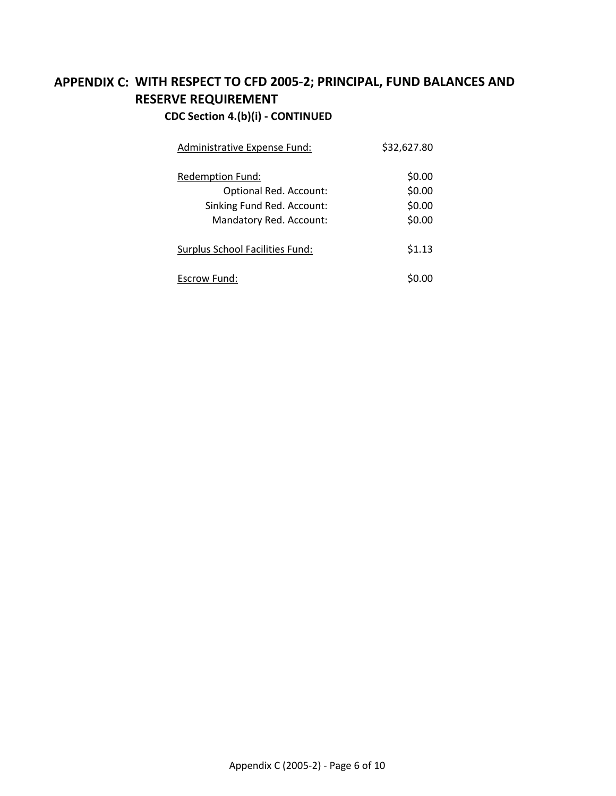## **APPENDIX C: WITH RESPECT TO CFD 2005-2; PRINCIPAL, FUND BALANCES AND CDC Section 4.(b)(i) - CONTINUED RESERVE REQUIREMENT**

| Administrative Expense Fund:    | \$32,627.80 |
|---------------------------------|-------------|
| Redemption Fund:                | \$0.00      |
| Optional Red. Account:          | \$0.00      |
| Sinking Fund Red. Account:      | \$0.00      |
| Mandatory Red. Account:         | \$0.00      |
| Surplus School Facilities Fund: | \$1.13      |
| Escrow Fund:                    |             |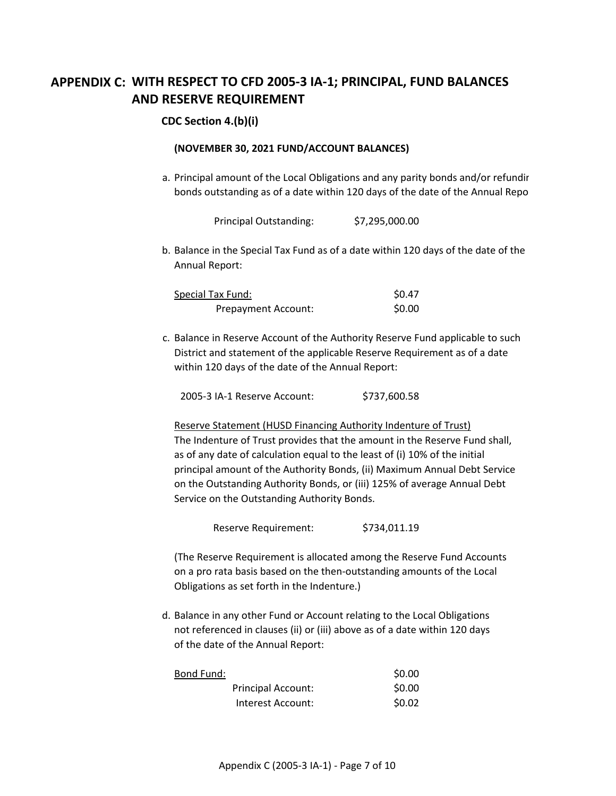## **APPENDIX C: WITH RESPECT TO CFD 2005-3 IA-1; PRINCIPAL, FUND BALANCES AND RESERVE REQUIREMENT**

#### **CDC Section 4.(b)(i)**

#### **(NOVEMBER 30, 2021 FUND/ACCOUNT BALANCES)**

a. Principal amount of the Local Obligations and any parity bonds and/or refundir bonds outstanding as of a date within 120 days of the date of the Annual Repo

Principal Outstanding: \$7,295,000.00

b. Balance in the Special Tax Fund as of a date within 120 days of the date of the Annual Report:

| Special Tax Fund:          | \$0.47 |
|----------------------------|--------|
| <b>Prepayment Account:</b> | \$0.00 |

c. Balance in Reserve Account of the Authority Reserve Fund applicable to such District and statement of the applicable Reserve Requirement as of a date within 120 days of the date of the Annual Report:

2005-3 IA-1 Reserve Account: \$737,600.58

Reserve Statement (HUSD Financing Authority Indenture of Trust) The Indenture of Trust provides that the amount in the Reserve Fund shall, as of any date of calculation equal to the least of (i) 10% of the initial principal amount of the Authority Bonds, (ii) Maximum Annual Debt Service on the Outstanding Authority Bonds, or (iii) 125% of average Annual Debt Service on the Outstanding Authority Bonds.

Reserve Requirement: \$734,011.19

(The Reserve Requirement is allocated among the Reserve Fund Accounts on a pro rata basis based on the then-outstanding amounts of the Local Obligations as set forth in the Indenture.)

d. Balance in any other Fund or Account relating to the Local Obligations not referenced in clauses (ii) or (iii) above as of a date within 120 days of the date of the Annual Report:

| Bond Fund: |                    | \$0.00 |
|------------|--------------------|--------|
|            | Principal Account: | \$0.00 |
|            | Interest Account:  | \$0.02 |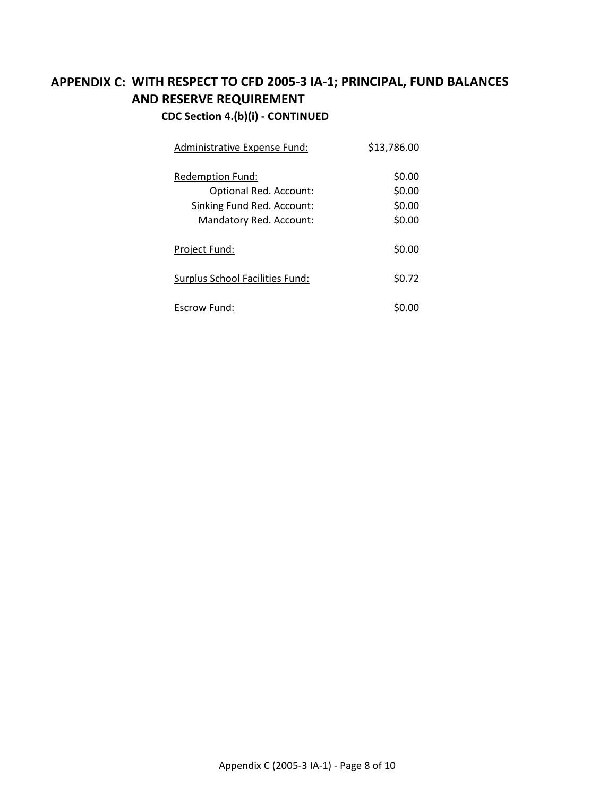## **APPENDIX C: WITH RESPECT TO CFD 2005-3 IA-1; PRINCIPAL, FUND BALANCES CDC Section 4.(b)(i) - CONTINUED AND RESERVE REQUIREMENT**

| Administrative Expense Fund:                                                                               | \$13,786.00                          |
|------------------------------------------------------------------------------------------------------------|--------------------------------------|
| Redemption Fund:<br><b>Optional Red. Account:</b><br>Sinking Fund Red. Account:<br>Mandatory Red. Account: | \$0.00<br>\$0.00<br>\$0.00<br>\$0.00 |
| Project Fund:                                                                                              | \$0.00                               |
| Surplus School Facilities Fund:                                                                            | \$0.72                               |
| Escrow Fund:                                                                                               |                                      |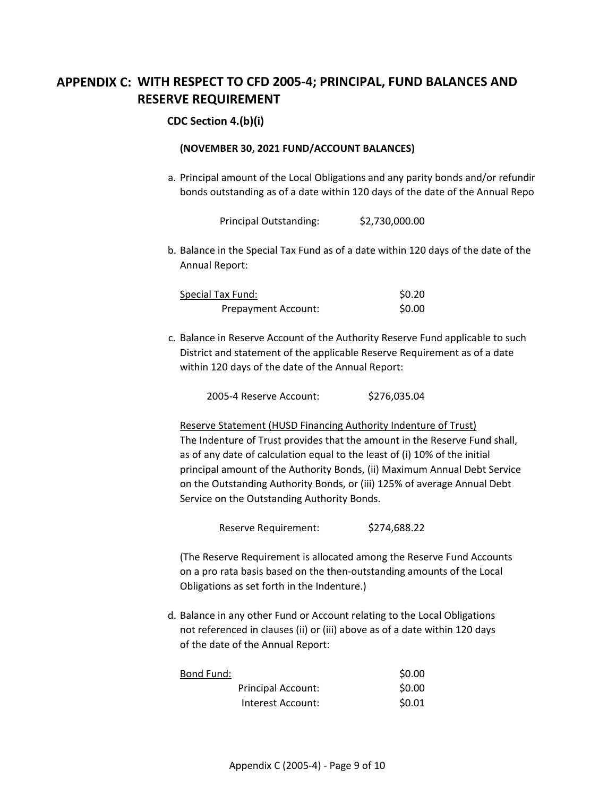## **APPENDIX C: WITH RESPECT TO CFD 2005-4; PRINCIPAL, FUND BALANCES AND RESERVE REQUIREMENT**

#### **CDC Section 4.(b)(i)**

#### **(NOVEMBER 30, 2021 FUND/ACCOUNT BALANCES)**

a. Principal amount of the Local Obligations and any parity bonds and/or refundir bonds outstanding as of a date within 120 days of the date of the Annual Repo

Principal Outstanding: \$2,730,000.00

b. Balance in the Special Tax Fund as of a date within 120 days of the date of the Annual Report:

| <b>Special Tax Fund:</b> | \$0.20 |
|--------------------------|--------|
| Prepayment Account:      | \$0.00 |

c. Balance in Reserve Account of the Authority Reserve Fund applicable to such District and statement of the applicable Reserve Requirement as of a date within 120 days of the date of the Annual Report:

2005-4 Reserve Account: \$276,035.04

Reserve Statement (HUSD Financing Authority Indenture of Trust) The Indenture of Trust provides that the amount in the Reserve Fund shall, as of any date of calculation equal to the least of (i) 10% of the initial principal amount of the Authority Bonds, (ii) Maximum Annual Debt Service on the Outstanding Authority Bonds, or (iii) 125% of average Annual Debt Service on the Outstanding Authority Bonds.

Reserve Requirement: \$274,688.22

(The Reserve Requirement is allocated among the Reserve Fund Accounts on a pro rata basis based on the then-outstanding amounts of the Local Obligations as set forth in the Indenture.)

d. Balance in any other Fund or Account relating to the Local Obligations not referenced in clauses (ii) or (iii) above as of a date within 120 days of the date of the Annual Report:

| Bond Fund: |                    | \$0.00 |
|------------|--------------------|--------|
|            | Principal Account: | \$0.00 |
|            | Interest Account:  | \$0.01 |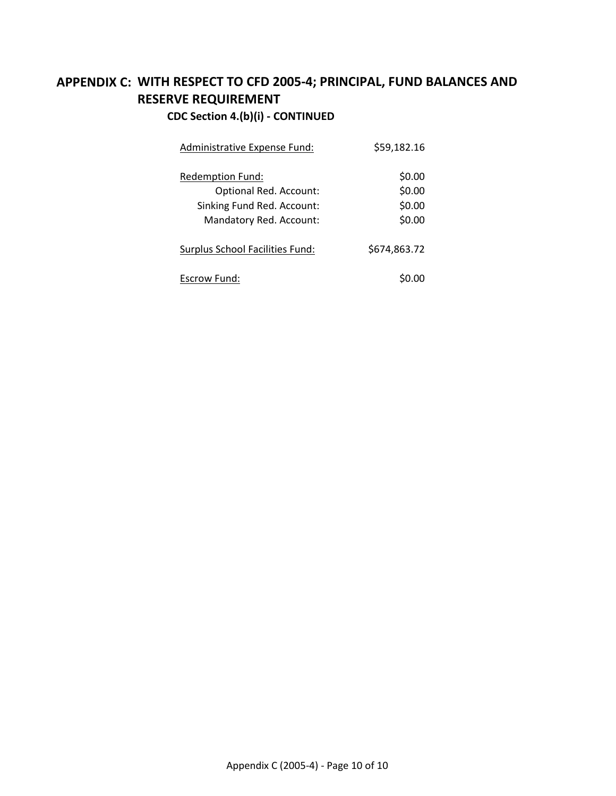## **APPENDIX C: WITH RESPECT TO CFD 2005-4; PRINCIPAL, FUND BALANCES AND RESERVE REQUIREMENT**

## **CDC Section 4.(b)(i) - CONTINUED**

| Administrative Expense Fund:    | \$59,182.16  |
|---------------------------------|--------------|
| Redemption Fund:                | \$0.00       |
| Optional Red. Account:          | \$0.00       |
| Sinking Fund Red. Account:      | \$0.00       |
| Mandatory Red. Account:         | \$0.00       |
| Surplus School Facilities Fund: | \$674,863.72 |
| Escrow Fund:                    |              |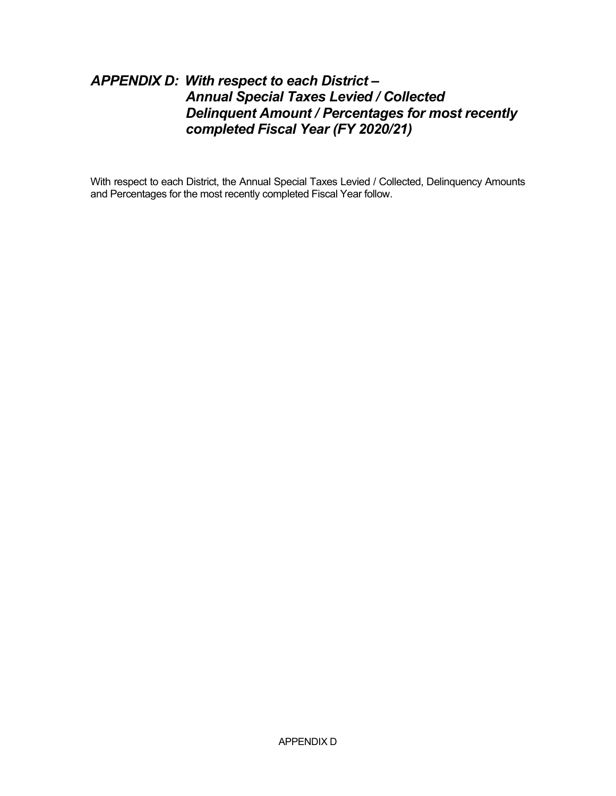## *APPENDIX D: With respect to each District – Annual Special Taxes Levied / Collected Delinquent Amount / Percentages for most recently completed Fiscal Year (FY 2020/21)*

With respect to each District, the Annual Special Taxes Levied / Collected, Delinquency Amounts and Percentages for the most recently completed Fiscal Year follow.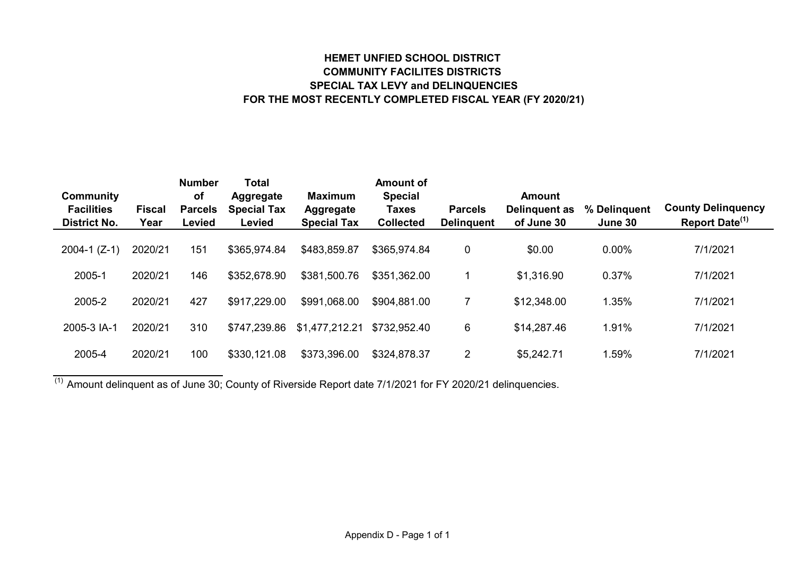#### **HEMET UNFIED SCHOOL DISTRICT COMMUNITY FACILITES DISTRICTS SPECIAL TAX LEVY and DELINQUENCIES FOR THE MOST RECENTLY COMPLETED FISCAL YEAR (FY 2020/21)**

| Community                                |                       | <b>Number</b><br>of             | <b>Total</b><br>Aggregate    | <b>Maximum</b>                         | <b>Amount of</b><br><b>Special</b> |                                     | <b>Amount</b>               |                         |                                                         |
|------------------------------------------|-----------------------|---------------------------------|------------------------------|----------------------------------------|------------------------------------|-------------------------------------|-----------------------------|-------------------------|---------------------------------------------------------|
| <b>Facilities</b><br><b>District No.</b> | <b>Fiscal</b><br>Year | <b>Parcels</b><br><b>Levied</b> | <b>Special Tax</b><br>Levied | <b>Aggregate</b><br><b>Special Tax</b> | <b>Taxes</b><br><b>Collected</b>   | <b>Parcels</b><br><b>Delinguent</b> | Delinguent as<br>of June 30 | % Delinquent<br>June 30 | <b>County Delinguency</b><br>Report Date <sup>(1)</sup> |
| $2004-1$ (Z-1)                           | 2020/21               | 151                             | \$365,974.84                 | \$483,859.87                           | \$365,974.84                       | 0                                   | \$0.00                      | $0.00\%$                | 7/1/2021                                                |
| 2005-1                                   | 2020/21               | 146                             | \$352,678.90                 | \$381,500.76                           | \$351,362.00                       |                                     | \$1,316.90                  | 0.37%                   | 7/1/2021                                                |
| 2005-2                                   | 2020/21               | 427                             | \$917,229.00                 | \$991,068.00                           | \$904,881.00                       |                                     | \$12,348.00                 | 1.35%                   | 7/1/2021                                                |
| 2005-3 IA-1                              | 2020/21               | 310                             | \$747,239.86                 | \$1,477,212.21                         | \$732,952.40                       | 6                                   | \$14,287.46                 | 1.91%                   | 7/1/2021                                                |
| 2005-4                                   | 2020/21               | 100                             | \$330,121.08                 | \$373,396.00                           | \$324,878.37                       | $\overline{2}$                      | \$5,242.71                  | .59%                    | 7/1/2021                                                |

 $\overline{^{(1)}}$  Amount delinquent as of June 30; County of Riverside Report date 7/1/2021 for FY 2020/21 delinquencies.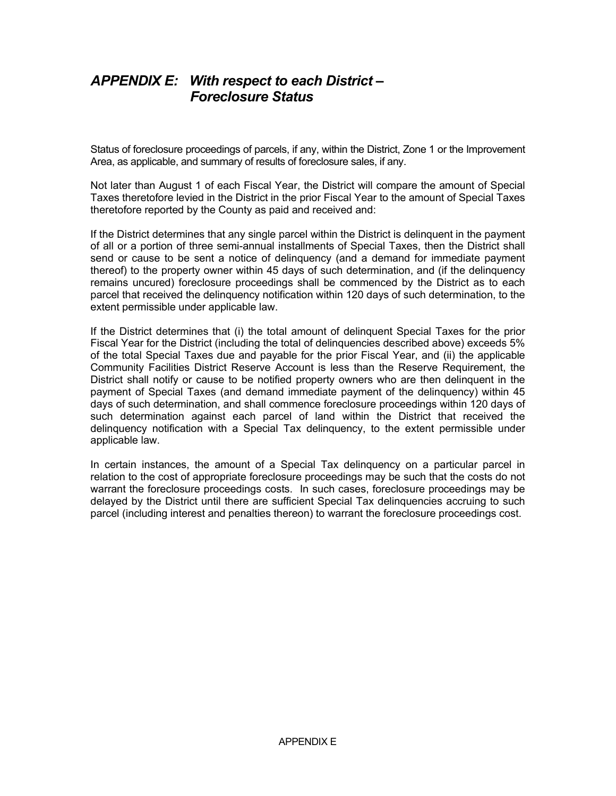## *APPENDIX E: With respect to each District – Foreclosure Status*

Status of foreclosure proceedings of parcels, if any, within the District, Zone 1 or the Improvement Area, as applicable, and summary of results of foreclosure sales, if any.

Not later than August 1 of each Fiscal Year, the District will compare the amount of Special Taxes theretofore levied in the District in the prior Fiscal Year to the amount of Special Taxes theretofore reported by the County as paid and received and:

If the District determines that any single parcel within the District is delinquent in the payment of all or a portion of three semi-annual installments of Special Taxes, then the District shall send or cause to be sent a notice of delinquency (and a demand for immediate payment thereof) to the property owner within 45 days of such determination, and (if the delinquency remains uncured) foreclosure proceedings shall be commenced by the District as to each parcel that received the delinquency notification within 120 days of such determination, to the extent permissible under applicable law.

If the District determines that (i) the total amount of delinquent Special Taxes for the prior Fiscal Year for the District (including the total of delinquencies described above) exceeds 5% of the total Special Taxes due and payable for the prior Fiscal Year, and (ii) the applicable Community Facilities District Reserve Account is less than the Reserve Requirement, the District shall notify or cause to be notified property owners who are then delinquent in the payment of Special Taxes (and demand immediate payment of the delinquency) within 45 days of such determination, and shall commence foreclosure proceedings within 120 days of such determination against each parcel of land within the District that received the delinquency notification with a Special Tax delinquency, to the extent permissible under applicable law.

In certain instances, the amount of a Special Tax delinquency on a particular parcel in relation to the cost of appropriate foreclosure proceedings may be such that the costs do not warrant the foreclosure proceedings costs. In such cases, foreclosure proceedings may be delayed by the District until there are sufficient Special Tax delinquencies accruing to such parcel (including interest and penalties thereon) to warrant the foreclosure proceedings cost.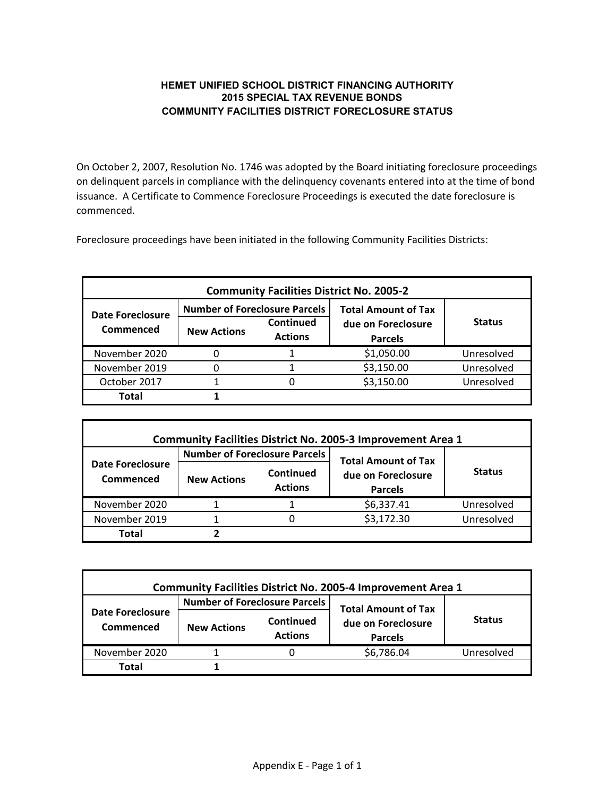#### **HEMET UNIFIED SCHOOL DISTRICT FINANCING AUTHORITY 2015 SPECIAL TAX REVENUE BONDS COMMUNITY FACILITIES DISTRICT FORECLOSURE STATUS**

On October 2, 2007, Resolution No. 1746 was adopted by the Board initiating foreclosure proceedings on delinquent parcels in compliance with the delinquency covenants entered into at the time of bond issuance. A Certificate to Commence Foreclosure Proceedings is executed the date foreclosure is commenced.

Foreclosure proceedings have been initiated in the following Community Facilities Districts:

| <b>Community Facilities District No. 2005-2</b> |                                      |                |                            |               |  |  |  |  |  |  |
|-------------------------------------------------|--------------------------------------|----------------|----------------------------|---------------|--|--|--|--|--|--|
| Date Foreclosure                                | <b>Number of Foreclosure Parcels</b> |                | <b>Total Amount of Tax</b> |               |  |  |  |  |  |  |
| Commenced                                       | <b>New Actions</b>                   | Continued      | due on Foreclosure         | <b>Status</b> |  |  |  |  |  |  |
|                                                 |                                      | <b>Actions</b> | <b>Parcels</b>             |               |  |  |  |  |  |  |
| November 2020                                   |                                      |                | \$1,050.00                 | Unresolved    |  |  |  |  |  |  |
| November 2019                                   |                                      |                | \$3,150.00                 | Unresolved    |  |  |  |  |  |  |
| October 2017                                    |                                      |                | \$3,150.00                 | Unresolved    |  |  |  |  |  |  |
| Total                                           |                                      |                |                            |               |  |  |  |  |  |  |

| <b>Community Facilities District No. 2005-3 Improvement Area 1</b> |                                      |                             |                                      |               |  |  |  |  |  |  |
|--------------------------------------------------------------------|--------------------------------------|-----------------------------|--------------------------------------|---------------|--|--|--|--|--|--|
|                                                                    | <b>Number of Foreclosure Parcels</b> |                             | <b>Total Amount of Tax</b>           | <b>Status</b> |  |  |  |  |  |  |
| <b>Date Foreclosure</b><br>Commenced                               | <b>New Actions</b>                   | Continued<br><b>Actions</b> | due on Foreclosure<br><b>Parcels</b> |               |  |  |  |  |  |  |
| November 2020                                                      |                                      |                             | \$6,337.41                           | Unresolved    |  |  |  |  |  |  |
| November 2019                                                      |                                      |                             | \$3,172.30                           | Unresolved    |  |  |  |  |  |  |
| Total                                                              |                                      |                             |                                      |               |  |  |  |  |  |  |

| <b>Community Facilities District No. 2005-4 Improvement Area 1</b> |                                                   |  |                            |               |  |  |  |  |  |
|--------------------------------------------------------------------|---------------------------------------------------|--|----------------------------|---------------|--|--|--|--|--|
|                                                                    | <b>Number of Foreclosure Parcels</b>              |  | <b>Total Amount of Tax</b> |               |  |  |  |  |  |
| Date Foreclosure<br>Commenced                                      | Continued<br><b>New Actions</b><br><b>Actions</b> |  | due on Foreclosure         | <b>Status</b> |  |  |  |  |  |
|                                                                    |                                                   |  | <b>Parcels</b>             |               |  |  |  |  |  |
| November 2020                                                      |                                                   |  | \$6,786.04                 | Unresolved    |  |  |  |  |  |
| Total                                                              |                                                   |  |                            |               |  |  |  |  |  |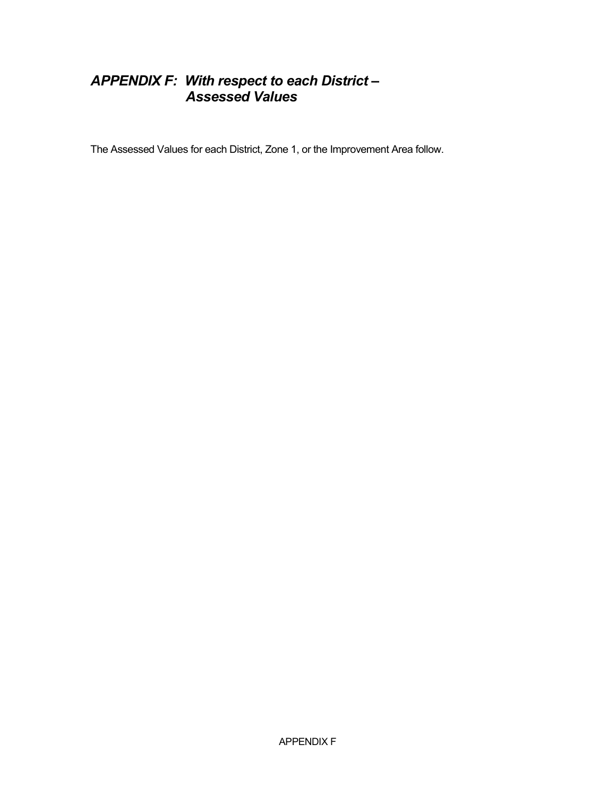## *APPENDIX F: With respect to each District – Assessed Values*

The Assessed Values for each District, Zone 1, or the Improvement Area follow.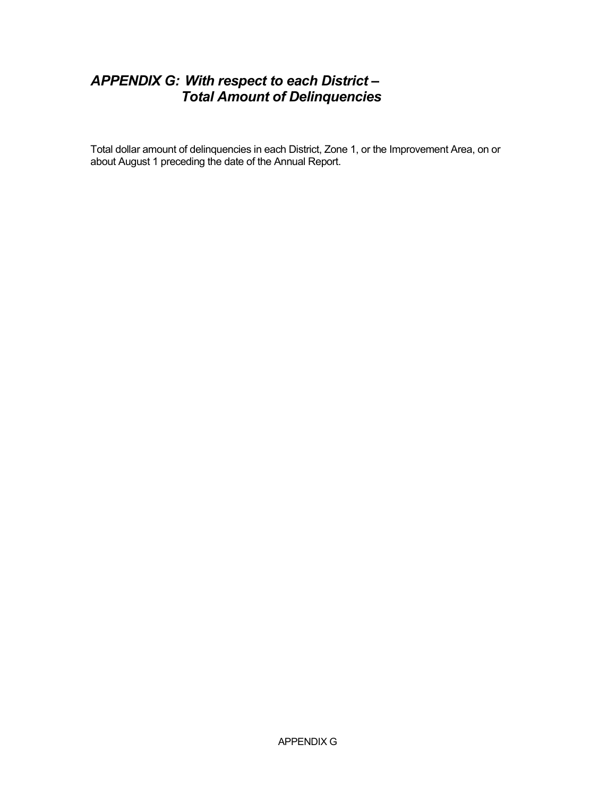## *APPENDIX G: With respect to each District – Total Amount of Delinquencies*

Total dollar amount of delinquencies in each District, Zone 1, or the Improvement Area, on or about August 1 preceding the date of the Annual Report.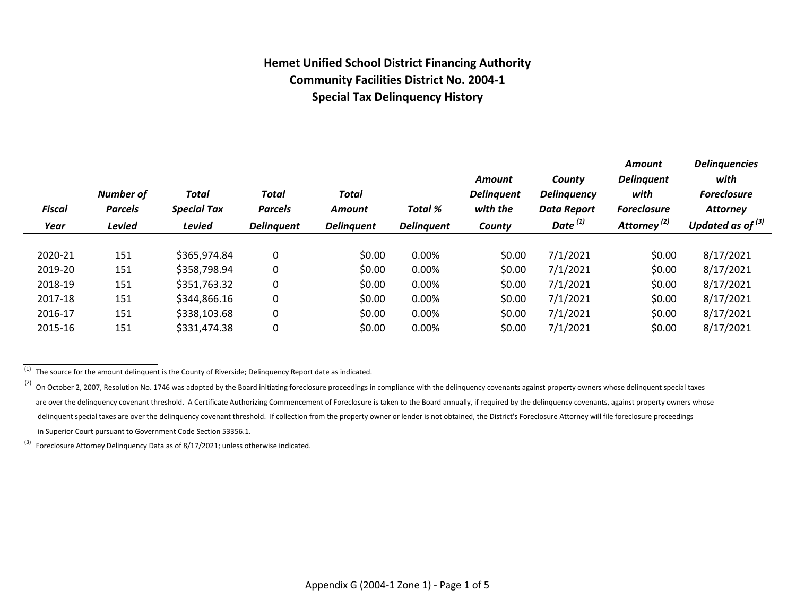## **Hemet Unified School District Financing Authority Community Facilities District No. 2004-1 Special Tax Delinquency History**

| <b>Number of</b><br><b>Parcels</b><br><b>Levied</b> | Total<br><b>Special Tax</b> | <b>Total</b><br><b>Parcels</b> | <b>Total</b><br><b>Amount</b> | Total %           | Amount<br><b>Delinguent</b><br>with the | County<br><b>Delinguency</b><br><b>Data Report</b> | <b>Amount</b><br><b>Delinquent</b><br>with<br><b>Foreclosure</b> | <b>Delinquencies</b><br>with<br><b>Foreclosure</b><br><b>Attorney</b><br>Updated as of $^{(3)}$ |
|-----------------------------------------------------|-----------------------------|--------------------------------|-------------------------------|-------------------|-----------------------------------------|----------------------------------------------------|------------------------------------------------------------------|-------------------------------------------------------------------------------------------------|
|                                                     |                             |                                |                               |                   |                                         |                                                    |                                                                  |                                                                                                 |
| 151                                                 | \$365,974.84                | 0                              | \$0.00                        | 0.00%             | \$0.00                                  | 7/1/2021                                           | \$0.00                                                           | 8/17/2021                                                                                       |
| 151                                                 | \$358,798.94                | 0                              | \$0.00                        | $0.00\%$          | \$0.00                                  | 7/1/2021                                           | \$0.00                                                           | 8/17/2021                                                                                       |
| 151                                                 | \$351,763.32                | 0                              | \$0.00                        | 0.00%             | \$0.00                                  | 7/1/2021                                           | \$0.00                                                           | 8/17/2021                                                                                       |
| 151                                                 | \$344,866.16                | 0                              | \$0.00                        | 0.00%             | \$0.00                                  | 7/1/2021                                           | \$0.00                                                           | 8/17/2021                                                                                       |
| 151                                                 | \$338,103.68                | 0                              | \$0.00                        | 0.00%             | \$0.00                                  | 7/1/2021                                           | \$0.00                                                           | 8/17/2021                                                                                       |
| 151                                                 | \$331,474.38                | 0                              | \$0.00                        | 0.00%             | \$0.00                                  | 7/1/2021                                           | \$0.00                                                           | 8/17/2021                                                                                       |
|                                                     |                             | <b>Levied</b>                  | <b>Delinquent</b>             | <b>Delinquent</b> | <b>Delinquent</b>                       | County                                             | Date $^{(1)}$                                                    | Attorney <sup>(2)</sup>                                                                         |

 $\frac{1}{(1)}$  The source for the amount delinguent is the County of Riverside; Delinguency Report date as indicated.

(3) Foreclosure Attorney Delinquency Data as of 8/17/2021; unless otherwise indicated.

<sup>(2)</sup> On October 2, 2007, Resolution No. 1746 was adopted by the Board initiating foreclosure proceedings in compliance with the delinquency covenants against property owners whose delinquent special taxes are over the delinquency covenant threshold. A Certificate Authorizing Commencement of Foreclosure is taken to the Board annually, if required by the delinquency covenants, against property owners whose delinquent special taxes are over the delinquency covenant threshold. If collection from the property owner or lender is not obtained, the District's Foreclosure Attorney will file foreclosure proceedings in Superior Court pursuant to Government Code Section 53356.1.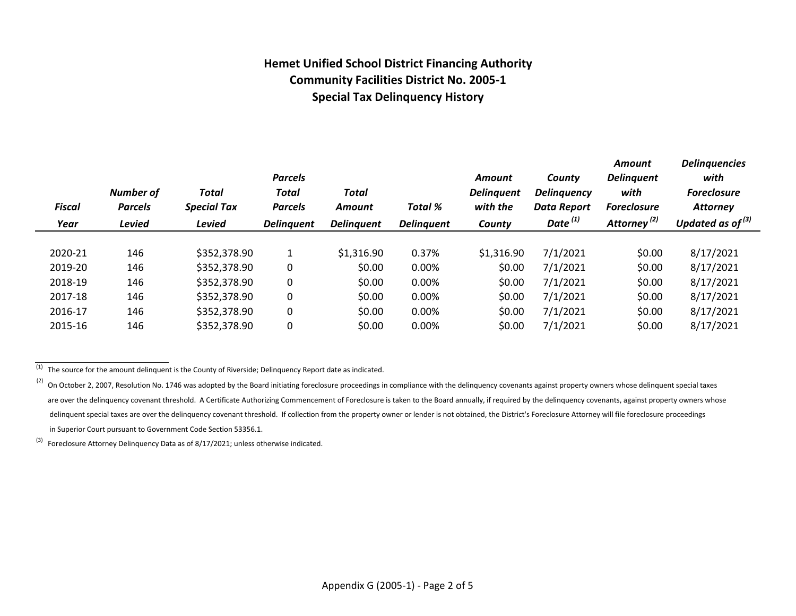## **Hemet Unified School District Financing Authority Community Facilities District No. 2005-1 Special Tax Delinquency History**

|               |                                    |                             | <b>Parcels</b>                 |                        |                   | Amount                        | County                            | <b>Amount</b><br><b>Delinguent</b> | <b>Delinquencies</b><br>with          |
|---------------|------------------------------------|-----------------------------|--------------------------------|------------------------|-------------------|-------------------------------|-----------------------------------|------------------------------------|---------------------------------------|
| <b>Fiscal</b> | <b>Number of</b><br><b>Parcels</b> | Total<br><b>Special Tax</b> | <b>Total</b><br><b>Parcels</b> | Total<br><b>Amount</b> | <b>Total %</b>    | <b>Delinguent</b><br>with the | <b>Delinguency</b><br>Data Report | with<br><b>Foreclosure</b>         | <b>Foreclosure</b><br><b>Attorney</b> |
| Year          | <b>Levied</b>                      | <b>Levied</b>               | <b>Delinquent</b>              | <b>Delinguent</b>      | <b>Delinquent</b> | County                        | Date $^{(1)}$                     | Attorney <sup>(2)</sup>            | Updated as of $(3)$                   |
|               |                                    |                             |                                |                        |                   |                               |                                   |                                    |                                       |
| 2020-21       | 146                                | \$352,378.90                | 1                              | \$1,316.90             | 0.37%             | \$1,316.90                    | 7/1/2021                          | \$0.00                             | 8/17/2021                             |
| 2019-20       | 146                                | \$352,378.90                | $\mathbf 0$                    | \$0.00                 | 0.00%             | \$0.00                        | 7/1/2021                          | \$0.00                             | 8/17/2021                             |
| 2018-19       | 146                                | \$352,378.90                | $\mathbf 0$                    | \$0.00                 | 0.00%             | \$0.00                        | 7/1/2021                          | \$0.00                             | 8/17/2021                             |
| 2017-18       | 146                                | \$352,378.90                | $\mathbf 0$                    | \$0.00                 | 0.00%             | \$0.00                        | 7/1/2021                          | \$0.00                             | 8/17/2021                             |
| 2016-17       | 146                                | \$352,378.90                | $\pmb{0}$                      | \$0.00                 | 0.00%             | \$0.00                        | 7/1/2021                          | \$0.00                             | 8/17/2021                             |
| 2015-16       | 146                                | \$352,378.90                | 0                              | \$0.00                 | 0.00%             | \$0.00                        | 7/1/2021                          | \$0.00                             | 8/17/2021                             |
|               |                                    |                             |                                |                        |                   |                               |                                   |                                    |                                       |

 $\overline{^{(1)}}$  The source for the amount delinquent is the County of Riverside; Delinquency Report date as indicated.

 $(3)$  Foreclosure Attorney Delinquency Data as of 8/17/2021; unless otherwise indicated.

 $^{(2)}$  On October 2, 2007, Resolution No. 1746 was adopted by the Board initiating foreclosure proceedings in compliance with the delinquency covenants against property owners whose delinquent special taxes are over the delinquency covenant threshold. A Certificate Authorizing Commencement of Foreclosure is taken to the Board annually, if required by the delinquency covenants, against property owners whose delinquent special taxes are over the delinquency covenant threshold. If collection from the property owner or lender is not obtained, the District's Foreclosure Attorney will file foreclosure proceedings in Superior Court pursuant to Government Code Section 53356.1.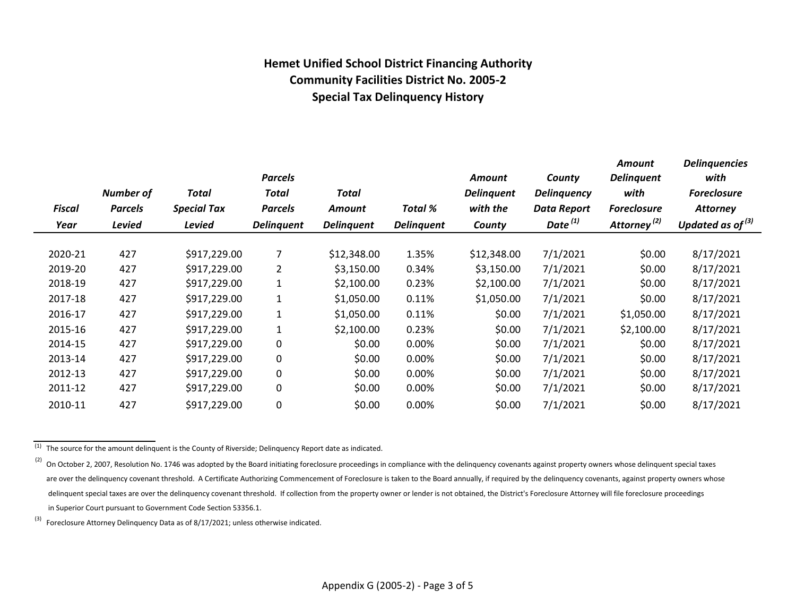## **Hemet Unified School District Financing Authority Community Facilities District No. 2005-2 Special Tax Delinquency History**

|               |                  |                    | <b>Parcels</b>    |                   |                   | Amount            | County             | Amount<br><b>Delinquent</b> | <b>Delinquencies</b><br>with |
|---------------|------------------|--------------------|-------------------|-------------------|-------------------|-------------------|--------------------|-----------------------------|------------------------------|
|               | <b>Number of</b> | Total              | Total             | Total             |                   | <b>Delinguent</b> | <b>Delinquency</b> | with                        | <b>Foreclosure</b>           |
| <b>Fiscal</b> | <b>Parcels</b>   | <b>Special Tax</b> | <b>Parcels</b>    | Amount            | Total %           | with the          | <b>Data Report</b> | <b>Foreclosure</b>          | <b>Attorney</b>              |
| Year          | <b>Levied</b>    | <b>Levied</b>      | <b>Delinquent</b> | <b>Delinquent</b> | <b>Delinquent</b> | County            | Date $^{(1)}$      | Attorney <sup>(2)</sup>     | Updated as of $(3)$          |
|               |                  |                    |                   |                   |                   |                   |                    |                             |                              |
| 2020-21       | 427              | \$917,229.00       | 7                 | \$12,348.00       | 1.35%             | \$12,348.00       | 7/1/2021           | \$0.00                      | 8/17/2021                    |
| 2019-20       | 427              | \$917,229.00       | 2                 | \$3,150.00        | 0.34%             | \$3,150.00        | 7/1/2021           | \$0.00                      | 8/17/2021                    |
| 2018-19       | 427              | \$917,229.00       | $\mathbf{1}$      | \$2,100.00        | 0.23%             | \$2,100.00        | 7/1/2021           | \$0.00                      | 8/17/2021                    |
| 2017-18       | 427              | \$917,229.00       | $\mathbf{1}$      | \$1,050.00        | 0.11%             | \$1,050.00        | 7/1/2021           | \$0.00                      | 8/17/2021                    |
| 2016-17       | 427              | \$917,229.00       | $\mathbf{1}$      | \$1,050.00        | 0.11%             | \$0.00            | 7/1/2021           | \$1,050.00                  | 8/17/2021                    |
| 2015-16       | 427              | \$917,229.00       | 1                 | \$2,100.00        | 0.23%             | \$0.00            | 7/1/2021           | \$2,100.00                  | 8/17/2021                    |
| 2014-15       | 427              | \$917,229.00       | 0                 | \$0.00            | $0.00\%$          | \$0.00            | 7/1/2021           | \$0.00                      | 8/17/2021                    |
| 2013-14       | 427              | \$917,229.00       | 0                 | \$0.00            | $0.00\%$          | \$0.00            | 7/1/2021           | \$0.00                      | 8/17/2021                    |
| 2012-13       | 427              | \$917,229.00       | 0                 | \$0.00            | $0.00\%$          | \$0.00            | 7/1/2021           | \$0.00                      | 8/17/2021                    |
| 2011-12       | 427              | \$917,229.00       | 0                 | \$0.00            | 0.00%             | \$0.00            | 7/1/2021           | \$0.00                      | 8/17/2021                    |
| 2010-11       | 427              | \$917,229.00       | 0                 | \$0.00            | 0.00%             | \$0.00            | 7/1/2021           | \$0.00                      | 8/17/2021                    |
|               |                  |                    |                   |                   |                   |                   |                    |                             |                              |

 $\frac{1}{10}$  The source for the amount delinquent is the County of Riverside; Delinquency Report date as indicated.

 $(3)$  Foreclosure Attorney Delinquency Data as of 8/17/2021; unless otherwise indicated.

<sup>(2)</sup> On October 2, 2007, Resolution No. 1746 was adopted by the Board initiating foreclosure proceedings in compliance with the delinquency covenants against property owners whose delinquent special taxes are over the delinquency covenant threshold. A Certificate Authorizing Commencement of Foreclosure is taken to the Board annually, if required by the delinquency covenants, against property owners whose delinquent special taxes are over the delinquency covenant threshold. If collection from the property owner or lender is not obtained, the District's Foreclosure Attorney will file foreclosure proceedings in Superior Court pursuant to Government Code Section 53356.1.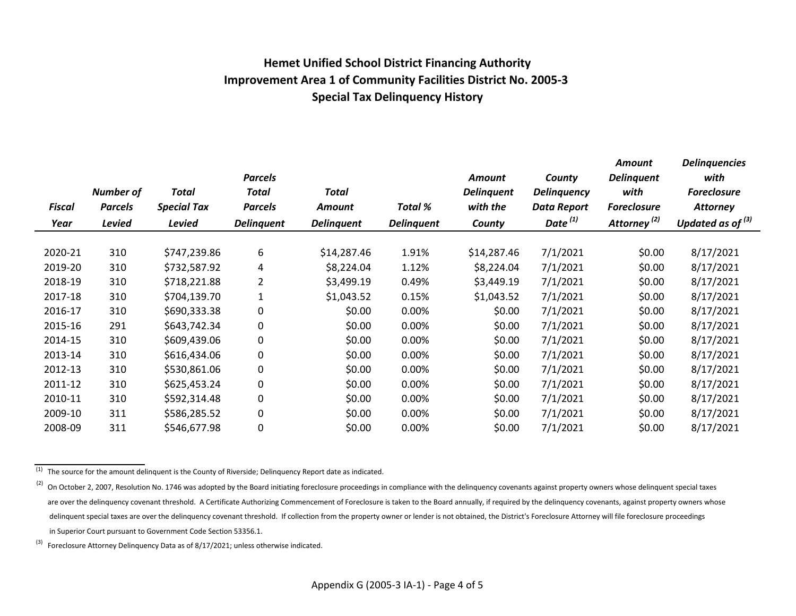## **Hemet Unified School District Financing Authority Improvement Area 1 of Community Facilities District No. 2005-3 Special Tax Delinquency History**

|         |                  |                    | <b>Parcels</b>    |                   |                   | Amount            | County              | Amount<br><b>Delinquent</b> | <b>Delinquencies</b><br>with |
|---------|------------------|--------------------|-------------------|-------------------|-------------------|-------------------|---------------------|-----------------------------|------------------------------|
|         | <b>Number of</b> | Total              | <b>Total</b>      | Total             |                   | <b>Delinquent</b> | <b>Delinquency</b>  | with                        | <b>Foreclosure</b>           |
| Fiscal  | <b>Parcels</b>   | <b>Special Tax</b> | <b>Parcels</b>    | Amount            | <b>Total %</b>    | with the          | Data Report         | <b>Foreclosure</b>          | <b>Attorney</b>              |
| Year    | <b>Levied</b>    | <b>Levied</b>      | <b>Delinquent</b> | <b>Delinquent</b> | <b>Delinquent</b> | County            | Date <sup>(1)</sup> | Attorney <sup>(2)</sup>     | Updated as of $^{(3)}$       |
|         |                  |                    |                   |                   |                   |                   |                     |                             |                              |
| 2020-21 | 310              | \$747,239.86       | 6                 | \$14,287.46       | 1.91%             | \$14,287.46       | 7/1/2021            | \$0.00                      | 8/17/2021                    |
| 2019-20 | 310              | \$732,587.92       | 4                 | \$8,224.04        | 1.12%             | \$8,224.04        | 7/1/2021            | \$0.00                      | 8/17/2021                    |
| 2018-19 | 310              | \$718,221.88       | $\overline{2}$    | \$3,499.19        | 0.49%             | \$3,449.19        | 7/1/2021            | \$0.00                      | 8/17/2021                    |
| 2017-18 | 310              | \$704,139.70       | $\mathbf{1}$      | \$1,043.52        | 0.15%             | \$1,043.52        | 7/1/2021            | \$0.00                      | 8/17/2021                    |
| 2016-17 | 310              | \$690,333.38       | $\mathbf 0$       | \$0.00            | 0.00%             | \$0.00            | 7/1/2021            | \$0.00                      | 8/17/2021                    |
| 2015-16 | 291              | \$643,742.34       | $\mathbf 0$       | \$0.00            | 0.00%             | \$0.00            | 7/1/2021            | \$0.00                      | 8/17/2021                    |
| 2014-15 | 310              | \$609,439.06       | $\mathbf 0$       | \$0.00            | 0.00%             | \$0.00            | 7/1/2021            | \$0.00                      | 8/17/2021                    |
| 2013-14 | 310              | \$616,434.06       | $\mathbf 0$       | \$0.00            | 0.00%             | \$0.00            | 7/1/2021            | \$0.00                      | 8/17/2021                    |
| 2012-13 | 310              | \$530,861.06       | $\mathbf 0$       | \$0.00            | 0.00%             | \$0.00            | 7/1/2021            | \$0.00                      | 8/17/2021                    |
| 2011-12 | 310              | \$625,453.24       | $\mathbf 0$       | \$0.00            | 0.00%             | \$0.00            | 7/1/2021            | \$0.00                      | 8/17/2021                    |
| 2010-11 | 310              | \$592,314.48       | 0                 | \$0.00            | 0.00%             | \$0.00            | 7/1/2021            | \$0.00                      | 8/17/2021                    |
| 2009-10 | 311              | \$586,285.52       | $\mathbf 0$       | \$0.00            | 0.00%             | \$0.00            | 7/1/2021            | \$0.00                      | 8/17/2021                    |
| 2008-09 | 311              | \$546,677.98       | 0                 | \$0.00            | 0.00%             | \$0.00            | 7/1/2021            | \$0.00                      | 8/17/2021                    |

 $\frac{1}{(1)}$  The source for the amount delinquent is the County of Riverside; Delinquency Report date as indicated.

 $^{(2)}$  On October 2, 2007, Resolution No. 1746 was adopted by the Board initiating foreclosure proceedings in compliance with the delinquency covenants against property owners whose delinquent special taxes are over the delinquency covenant threshold. A Certificate Authorizing Commencement of Foreclosure is taken to the Board annually, if required by the delinquency covenants, against property owners whose delinquent special taxes are over the delinquency covenant threshold. If collection from the property owner or lender is not obtained, the District's Foreclosure Attorney will file foreclosure proceedings in Superior Court pursuant to Government Code Section 53356.1.

 $^{(3)}$  Foreclosure Attorney Delinquency Data as of 8/17/2021; unless otherwise indicated.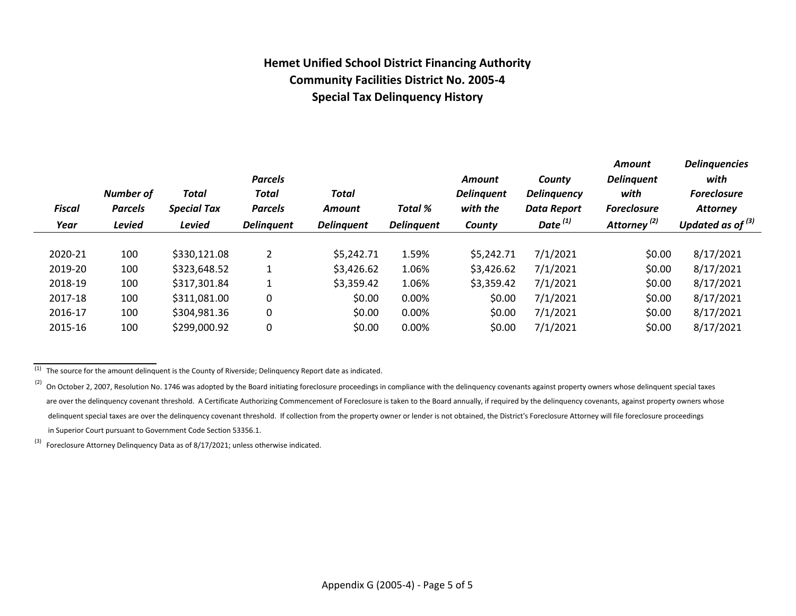## **Hemet Unified School District Financing Authority Community Facilities District No. 2005-4 Special Tax Delinquency History**

| with<br><b>Foreclosure</b><br><b>Attorney</b><br>Updated as of $^{(3)}$ |
|-------------------------------------------------------------------------|
|                                                                         |
| 8/17/2021                                                               |
| 8/17/2021                                                               |
| 8/17/2021                                                               |
| 8/17/2021                                                               |
| 8/17/2021                                                               |
| 8/17/2021                                                               |
|                                                                         |

 $(1)$  The source for the amount delinquent is the County of Riverside; Delinquency Report date as indicated.

 $^{(3)}$  Foreclosure Attorney Delinquency Data as of 8/17/2021; unless otherwise indicated.

 $^{(2)}$  On October 2, 2007, Resolution No. 1746 was adopted by the Board initiating foreclosure proceedings in compliance with the delinquency covenants against property owners whose delinquent special taxes are over the delinquency covenant threshold. A Certificate Authorizing Commencement of Foreclosure is taken to the Board annually, if required by the delinquency covenants, against property owners whose delinquent special taxes are over the delinquency covenant threshold. If collection from the property owner or lender is not obtained, the District's Foreclosure Attorney will file foreclosure proceedings in Superior Court pursuant to Government Code Section 53356.1.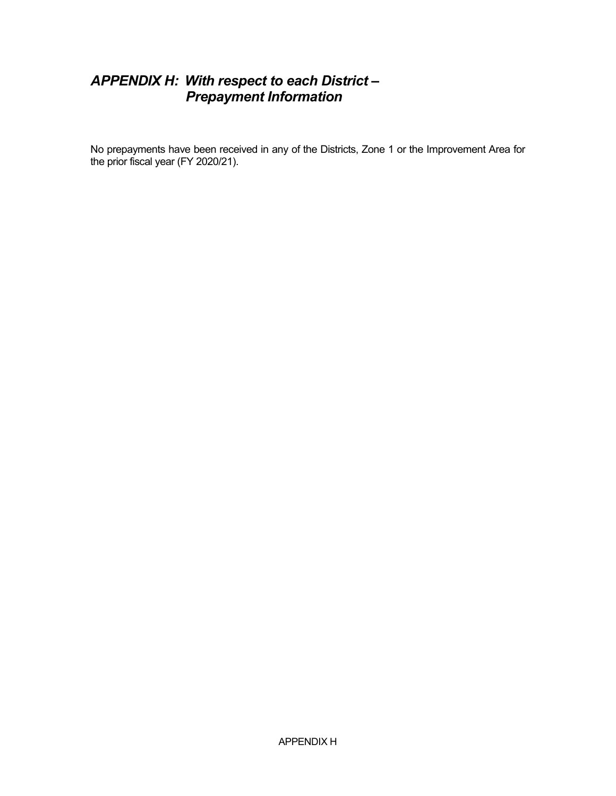## *APPENDIX H: With respect to each District – Prepayment Information*

No prepayments have been received in any of the Districts, Zone 1 or the Improvement Area for the prior fiscal year (FY 2020/21).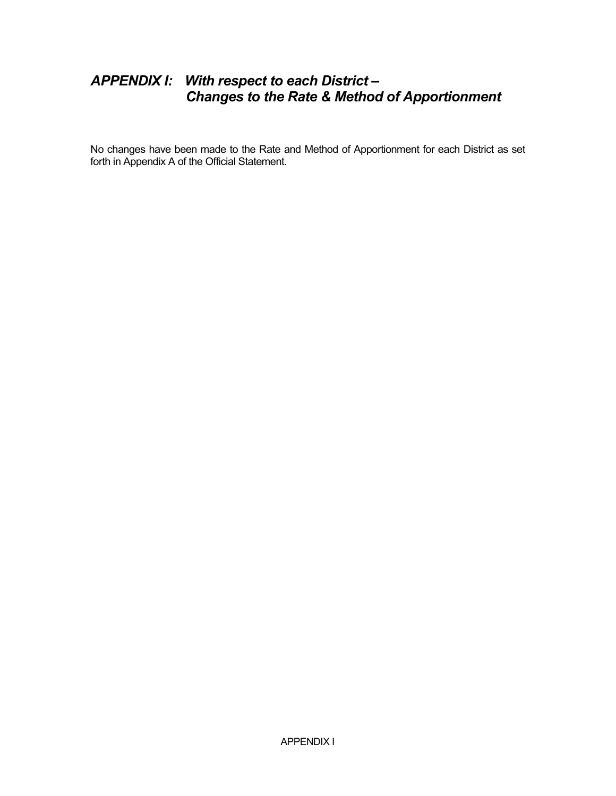## *APPENDIX I: With respect to each District – Changes to the Rate & Method of Apportionment*

No changes have been made to the Rate and Method of Apportionment for each District as set forth in Appendix A of the Official Statement.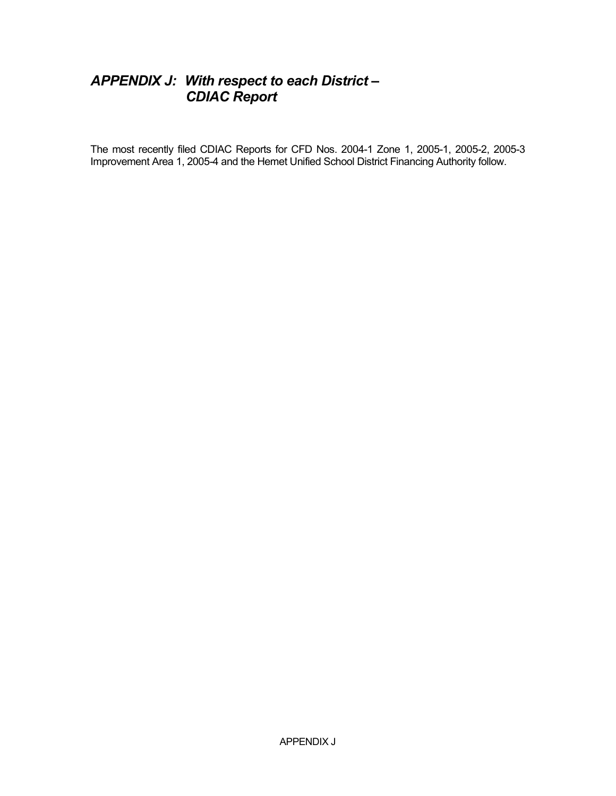## *APPENDIX J: With respect to each District – CDIAC Report*

The most recently filed CDIAC Reports for CFD Nos. 2004-1 Zone 1, 2005-1, 2005-2, 2005-3 Improvement Area 1, 2005-4 and the Hemet Unified School District Financing Authority follow.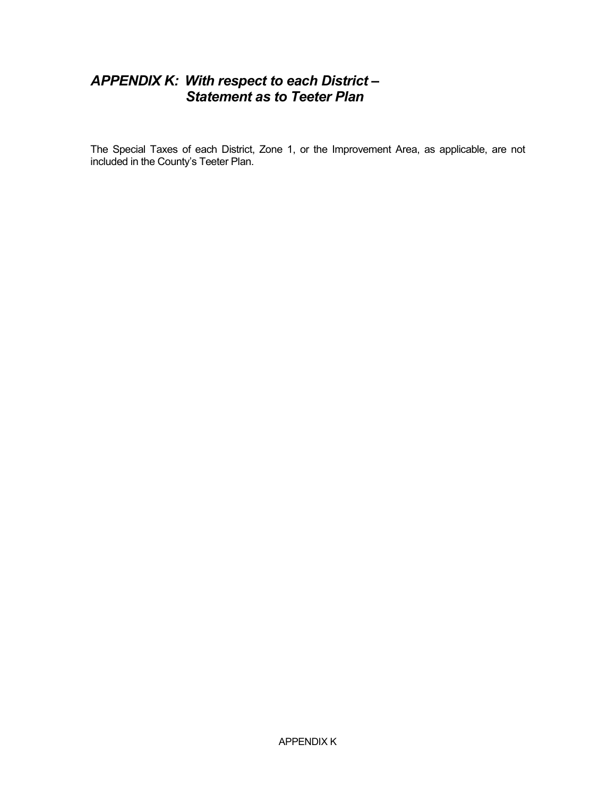## *APPENDIX K: With respect to each District – Statement as to Teeter Plan*

The Special Taxes of each District, Zone 1, or the Improvement Area, as applicable, are not included in the County's Teeter Plan.